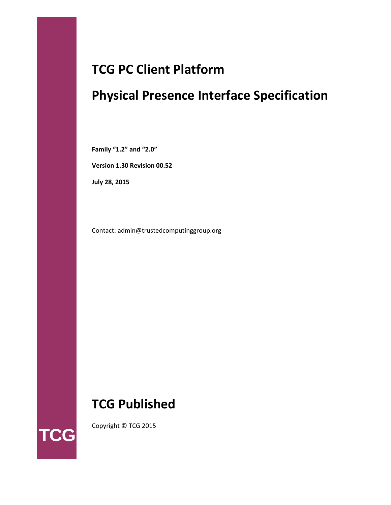# **TCG PC Client Platform**

# **Physical Presence Interface Specification**

**Family "1.2" and "2.0"**

**Version 1.30 Revision 00.52**

**July 28, 2015**

Contact: admin@trustedcomputinggroup.org

# **TCG Published**



Copyright © TCG 2015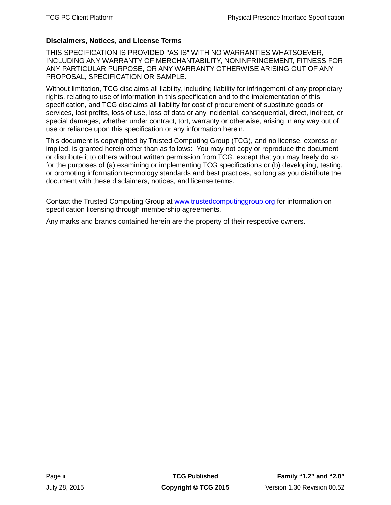# **Disclaimers, Notices, and License Terms**

THIS SPECIFICATION IS PROVIDED "AS IS" WITH NO WARRANTIES WHATSOEVER, INCLUDING ANY WARRANTY OF MERCHANTABILITY, NONINFRINGEMENT, FITNESS FOR ANY PARTICULAR PURPOSE, OR ANY WARRANTY OTHERWISE ARISING OUT OF ANY PROPOSAL, SPECIFICATION OR SAMPLE.

Without limitation, TCG disclaims all liability, including liability for infringement of any proprietary rights, relating to use of information in this specification and to the implementation of this specification, and TCG disclaims all liability for cost of procurement of substitute goods or services, lost profits, loss of use, loss of data or any incidental, consequential, direct, indirect, or special damages, whether under contract, tort, warranty or otherwise, arising in any way out of use or reliance upon this specification or any information herein.

This document is copyrighted by Trusted Computing Group (TCG), and no license, express or implied, is granted herein other than as follows: You may not copy or reproduce the document or distribute it to others without written permission from TCG, except that you may freely do so for the purposes of (a) examining or implementing TCG specifications or (b) developing, testing, or promoting information technology standards and best practices, so long as you distribute the document with these disclaimers, notices, and license terms.

Contact the Trusted Computing Group at [www.trustedcomputinggroup.org](http://www.trustedcomputinggroup.org/) for information on specification licensing through membership agreements.

Any marks and brands contained herein are the property of their respective owners.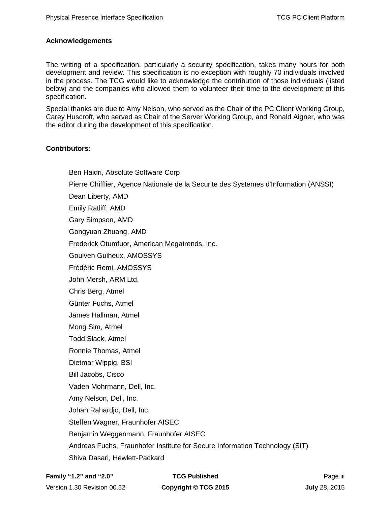# **Acknowledgements**

The writing of a specification, particularly a security specification, takes many hours for both development and review. This specification is no exception with roughly 70 individuals involved in the process. The TCG would like to acknowledge the contribution of those individuals (listed below) and the companies who allowed them to volunteer their time to the development of this specification.

Special thanks are due to Amy Nelson, who served as the Chair of the PC Client Working Group, Carey Huscroft, who served as Chair of the Server Working Group, and Ronald Aigner, who was the editor during the development of this specification.

# **Contributors:**

Ben Haidri, Absolute Software Corp Pierre Chifflier, Agence Nationale de la Securite des Systemes d'Information (ANSSI) Dean Liberty, AMD Emily Ratliff, AMD Gary Simpson, AMD Gongyuan Zhuang, AMD Frederick Otumfuor, American Megatrends, Inc. Goulven Guiheux, AMOSSYS Frédéric Remi, AMOSSYS John Mersh, ARM Ltd. Chris Berg, Atmel Günter Fuchs, Atmel James Hallman, Atmel Mong Sim, Atmel Todd Slack, Atmel Ronnie Thomas, Atmel Dietmar Wippig, BSI Bill Jacobs, Cisco Vaden Mohrmann, Dell, Inc. Amy Nelson, Dell, Inc. Johan Rahardjo, Dell, Inc. Steffen Wagner, Fraunhofer AISEC Benjamin Weggenmann, Fraunhofer AISEC Andreas Fuchs, Fraunhofer Institute for Secure Information Technology (SIT) Shiva Dasari, Hewlett-Packard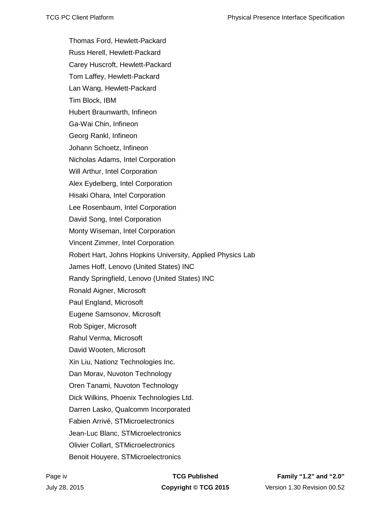Thomas Ford, Hewlett-Packard Russ Herell, Hewlett-Packard Carey Huscroft, Hewlett-Packard Tom Laffey, Hewlett-Packard Lan Wang, Hewlett-Packard Tim Block, IBM Hubert Braunwarth, Infineon Ga-Wai Chin, Infineon Georg Rankl, Infineon Johann Schoetz, Infineon Nicholas Adams, Intel Corporation Will Arthur, Intel Corporation Alex Eydelberg, Intel Corporation Hisaki Ohara, Intel Corporation Lee Rosenbaum, Intel Corporation David Song, Intel Corporation Monty Wiseman, Intel Corporation Vincent Zimmer, Intel Corporation Robert Hart, Johns Hopkins University, Applied Physics Lab James Hoff, Lenovo (United States) INC Randy Springfield, Lenovo (United States) INC Ronald Aigner, Microsoft Paul England, Microsoft Eugene Samsonov, Microsoft Rob Spiger, Microsoft Rahul Verma, Microsoft David Wooten, Microsoft Xin Liu, Nationz Technologies Inc. Dan Morav, Nuvoton Technology Oren Tanami, Nuvoton Technology Dick Wilkins, Phoenix Technologies Ltd. Darren Lasko, Qualcomm Incorporated Fabien Arrivé, STMicroelectronics Jean-Luc Blanc, STMicroelectronics Olivier Collart, STMicroelectronics Benoit Houyere, STMicroelectronics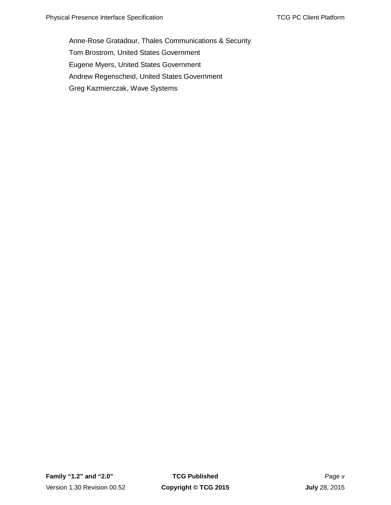Anne-Rose Gratadour, Thales Communications & Security Tom Brostrom, United States Government Eugene Myers, United States Government Andrew Regenscheid, United States Government Greg Kazmierczak, Wave Systems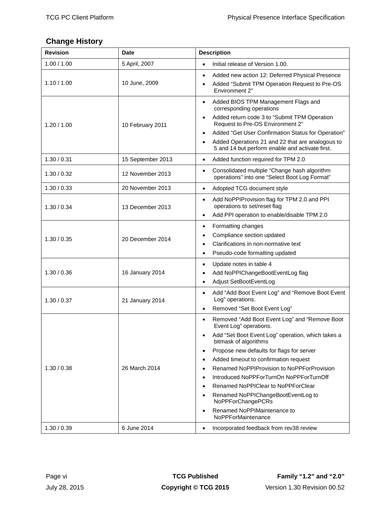# <span id="page-5-0"></span>**Change History**

| <b>Revision</b> | <b>Date</b>       | <b>Description</b>                                                                                                                                                                                                                                                                                                                                                                                                                                                                                                                                                                                                     |
|-----------------|-------------------|------------------------------------------------------------------------------------------------------------------------------------------------------------------------------------------------------------------------------------------------------------------------------------------------------------------------------------------------------------------------------------------------------------------------------------------------------------------------------------------------------------------------------------------------------------------------------------------------------------------------|
| 1.00 / 1.00     | 5 April, 2007     | Initial release of Version 1.00.<br>$\bullet$                                                                                                                                                                                                                                                                                                                                                                                                                                                                                                                                                                          |
| 1.10 / 1.00     | 10 June, 2009     | Added new action 12: Deferred Physical Presence<br>$\bullet$<br>Added "Submit TPM Operation Request to Pre-OS<br>$\bullet$<br>Environment 2"                                                                                                                                                                                                                                                                                                                                                                                                                                                                           |
| 1.20 / 1.00     | 10 February 2011  | Added BIOS TPM Management Flags and<br>$\bullet$<br>corresponding operations<br>Added return code 3 to "Submit TPM Operation<br>$\bullet$<br>Request to Pre-OS Environment 2"<br>Added "Get User Confirmation Status for Operation"<br>$\bullet$<br>Added Operations 21 and 22 that are analogous to<br>$\bullet$<br>5 and 14 but perform enable and activate first.                                                                                                                                                                                                                                                   |
| 1.30 / 0.31     | 15 September 2013 | Added function required for TPM 2.0<br>$\bullet$                                                                                                                                                                                                                                                                                                                                                                                                                                                                                                                                                                       |
| 1.30 / 0.32     | 12 November 2013  | Consolidated multiple "Change hash algorithm<br>$\bullet$<br>operations" into one "Select Boot Log Format"                                                                                                                                                                                                                                                                                                                                                                                                                                                                                                             |
| 1.30 / 0.33     | 20 November 2013  | Adopted TCG document style<br>$\bullet$                                                                                                                                                                                                                                                                                                                                                                                                                                                                                                                                                                                |
| 1.30 / 0.34     | 13 December 2013  | Add NoPPIProvision flag for TPM 2.0 and PPI<br>$\bullet$<br>operations to set/reset flag<br>Add PPI operation to enable/disable TPM 2.0<br>$\bullet$                                                                                                                                                                                                                                                                                                                                                                                                                                                                   |
| 1.30 / 0.35     | 20 December 2014  | Formatting changes<br>$\bullet$<br>Compliance section updated<br>$\bullet$<br>Clarifications in non-normative text<br>$\bullet$<br>Pseudo-code formatting updated<br>$\bullet$                                                                                                                                                                                                                                                                                                                                                                                                                                         |
| 1.30 / 0.36     | 16 January 2014   | Update notes in table 4<br>$\bullet$<br>Add NoPPIChangeBootEventLog flag<br>$\bullet$<br>Adjust SetBootEventLog<br>$\bullet$                                                                                                                                                                                                                                                                                                                                                                                                                                                                                           |
| 1.30 / 0.37     | 21 January 2014   | Add "Add Boot Event Log" and "Remove Boot Event<br>$\bullet$<br>Log" operations.<br>Removed "Set Boot Event Log"<br>$\bullet$                                                                                                                                                                                                                                                                                                                                                                                                                                                                                          |
| 1.30 / 0.38     | 26 March 2014     | Removed "Add Boot Event Log" and "Remove Boot<br>$\bullet$<br>Event Log" operations.<br>Add "Set Boot Event Log" operation, which takes a<br>$\bullet$<br>bitmask of algorithms<br>Propose new defaults for flags for server<br>$\bullet$<br>Added timeout to confirmation request<br>$\bullet$<br>Renamed NoPPIProvision to NoPPForProvision<br>$\bullet$<br>Introduced NoPPForTurnOn NoPPForTurnOff<br>$\bullet$<br>Renamed NoPPIClear to NoPPForClear<br>$\bullet$<br>Renamed NoPPIChangeBootEventLog to<br>$\bullet$<br>NoPPForChangePCRs<br>Renamed NoPPIMaintenance to<br>$\bullet$<br><b>NoPPForMaintenance</b> |
| 1.30 / 0.39     | 6 June 2014       | Incorporated feedback from rev38 review<br>$\bullet$                                                                                                                                                                                                                                                                                                                                                                                                                                                                                                                                                                   |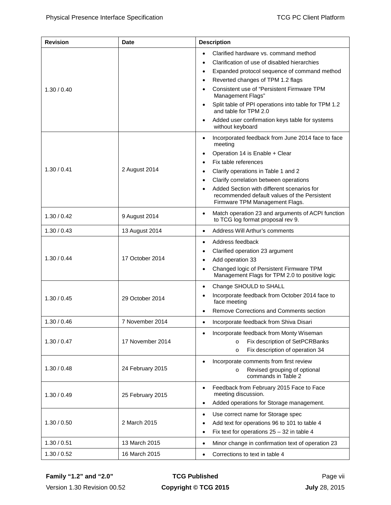| <b>Revision</b> | <b>Date</b>      | <b>Description</b>                                                                              |  |  |  |
|-----------------|------------------|-------------------------------------------------------------------------------------------------|--|--|--|
|                 |                  | Clarified hardware vs. command method                                                           |  |  |  |
|                 |                  | Clarification of use of disabled hierarchies<br>٠                                               |  |  |  |
|                 |                  | Expanded protocol sequence of command method<br>٠                                               |  |  |  |
|                 |                  | Reverted changes of TPM 1.2 flags<br>٠                                                          |  |  |  |
| 1.30 / 0.40     |                  | Consistent use of "Persistent Firmware TPM<br>٠<br>Management Flags"                            |  |  |  |
|                 |                  | Split table of PPI operations into table for TPM 1.2<br>$\bullet$<br>and table for TPM 2.0      |  |  |  |
|                 |                  | Added user confirmation keys table for systems<br>٠<br>without keyboard                         |  |  |  |
|                 |                  | Incorporated feedback from June 2014 face to face<br>$\bullet$<br>meeting                       |  |  |  |
|                 |                  | Operation 14 is Enable + Clear<br>$\bullet$                                                     |  |  |  |
|                 |                  | Fix table references<br>٠                                                                       |  |  |  |
| 1.30 / 0.41     | 2 August 2014    | Clarify operations in Table 1 and 2                                                             |  |  |  |
|                 |                  | Clarify correlation between operations                                                          |  |  |  |
|                 |                  | Added Section with different scenarios for<br>$\bullet$                                         |  |  |  |
|                 |                  | recommended default values of the Persistent<br>Firmware TPM Management Flags.                  |  |  |  |
| 1.30 / 0.42     | 9 August 2014    | Match operation 23 and arguments of ACPI function<br>to TCG log format proposal rev 9.          |  |  |  |
| 1.30 / 0.43     | 13 August 2014   | Address Will Arthur's comments<br>$\bullet$                                                     |  |  |  |
|                 |                  | Address feedback<br>٠                                                                           |  |  |  |
|                 | 17 October 2014  | Clarified operation 23 argument<br>٠                                                            |  |  |  |
| 1.30 / 0.44     |                  | Add operation 33<br>٠                                                                           |  |  |  |
|                 |                  | Changed logic of Persistent Firmware TPM<br>٠<br>Management Flags for TPM 2.0 to positive logic |  |  |  |
|                 |                  | Change SHOULD to SHALL<br>$\bullet$                                                             |  |  |  |
| 1.30 / 0.45     | 29 October 2014  | Incorporate feedback from October 2014 face to<br>face meeting                                  |  |  |  |
|                 |                  | Remove Corrections and Comments section                                                         |  |  |  |
| 1.30 / 0.46     | 7 November 2014  | Incorporate feedback from Shiva Disari                                                          |  |  |  |
|                 |                  | Incorporate feedback from Monty Wiseman<br>٠                                                    |  |  |  |
| 1.30 / 0.47     | 17 November 2014 | Fix description of SetPCRBanks<br>$\circ$                                                       |  |  |  |
|                 |                  | Fix description of operation 34<br>$\circ$                                                      |  |  |  |
|                 |                  | Incorporate comments from first review                                                          |  |  |  |
| 1.30 / 0.48     | 24 February 2015 | Revised grouping of optional<br>$\circ$                                                         |  |  |  |
|                 |                  | commands in Table 2                                                                             |  |  |  |
| 1.30 / 0.49     | 25 February 2015 | Feedback from February 2015 Face to Face<br>٠<br>meeting discussion.                            |  |  |  |
|                 |                  | Added operations for Storage management.<br>٠                                                   |  |  |  |
|                 |                  | Use correct name for Storage spec<br>$\bullet$                                                  |  |  |  |
| 1.30 / 0.50     | 2 March 2015     | Add text for operations 96 to 101 to table 4                                                    |  |  |  |
|                 |                  | Fix text for operations $25 - 32$ in table 4<br>٠                                               |  |  |  |
| 1.30 / 0.51     | 13 March 2015    | Minor change in confirmation text of operation 23<br>٠                                          |  |  |  |
| 1.30 / 0.52     | 16 March 2015    | Corrections to text in table 4                                                                  |  |  |  |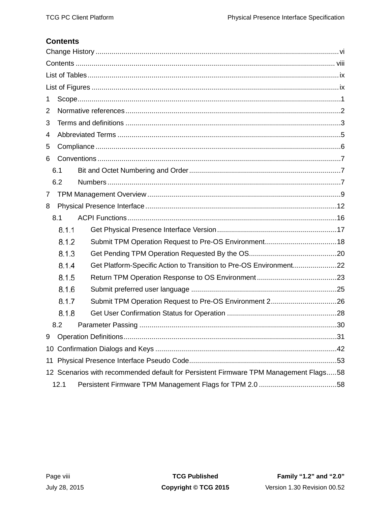# <span id="page-7-0"></span>**Contents**

| 1              |       |                                                                                      |  |  |  |
|----------------|-------|--------------------------------------------------------------------------------------|--|--|--|
| 2              |       |                                                                                      |  |  |  |
| 3              |       |                                                                                      |  |  |  |
| 4              |       |                                                                                      |  |  |  |
| 5              |       |                                                                                      |  |  |  |
| 6              |       |                                                                                      |  |  |  |
|                | 6.1   |                                                                                      |  |  |  |
|                | 6.2   |                                                                                      |  |  |  |
| $\overline{7}$ |       |                                                                                      |  |  |  |
| 8              |       |                                                                                      |  |  |  |
|                | 8.1   |                                                                                      |  |  |  |
|                | 8.1.1 |                                                                                      |  |  |  |
|                | 8.1.2 |                                                                                      |  |  |  |
|                | 8.1.3 |                                                                                      |  |  |  |
|                | 8.1.4 |                                                                                      |  |  |  |
|                | 8.1.5 |                                                                                      |  |  |  |
|                | 8.1.6 |                                                                                      |  |  |  |
|                | 8.1.7 | Submit TPM Operation Request to Pre-OS Environment 226                               |  |  |  |
|                | 8.1.8 |                                                                                      |  |  |  |
|                | 8.2   |                                                                                      |  |  |  |
| 9              |       |                                                                                      |  |  |  |
|                |       |                                                                                      |  |  |  |
|                | 11    |                                                                                      |  |  |  |
|                |       | 12 Scenarios with recommended default for Persistent Firmware TPM Management Flags58 |  |  |  |
|                | 12.1  |                                                                                      |  |  |  |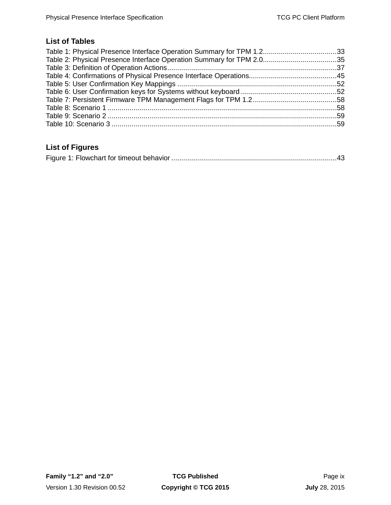# <span id="page-8-0"></span>**List of Tables**

# <span id="page-8-1"></span>**List of Figures**

|--|--|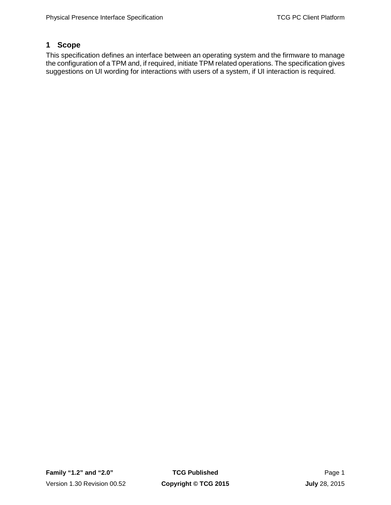# <span id="page-10-0"></span>**1 Scope**

This specification defines an interface between an operating system and the firmware to manage the configuration of a TPM and, if required, initiate TPM related operations. The specification gives suggestions on UI wording for interactions with users of a system, if UI interaction is required.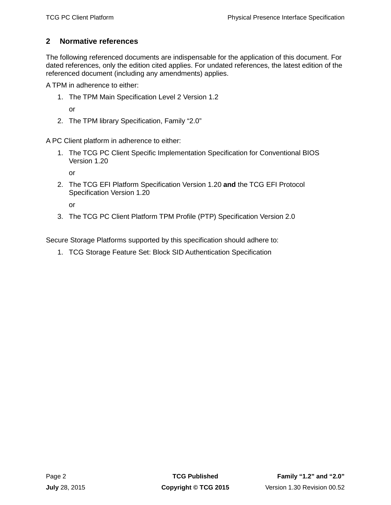# <span id="page-11-0"></span>**2 Normative references**

The following referenced documents are indispensable for the application of this document. For dated references, only the edition cited applies. For undated references, the latest edition of the referenced document (including any amendments) applies.

A TPM in adherence to either:

- 1. The TPM Main Specification Level 2 Version 1.2
	- or
- 2. The TPM library Specification, Family "2.0"

A PC Client platform in adherence to either:

1. The TCG PC Client Specific Implementation Specification for Conventional BIOS Version 1.20

or

2. The TCG EFI Platform Specification Version 1.20 **and** the TCG EFI Protocol Specification Version 1.20

or

3. The TCG PC Client Platform TPM Profile (PTP) Specification Version 2.0

Secure Storage Platforms supported by this specification should adhere to:

1. TCG Storage Feature Set: Block SID Authentication Specification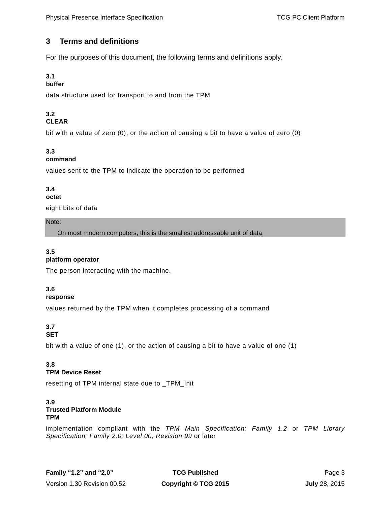# <span id="page-12-0"></span>**3 Terms and definitions**

For the purposes of this document, the following terms and definitions apply.

# **3.1**

# **buffer**

data structure used for transport to and from the TPM

### **3.2 CLEAR**

bit with a value of zero (0), or the action of causing a bit to have a value of zero (0)

# **3.3**

### **command**

values sent to the TPM to indicate the operation to be performed

# **3.4**

### **octet**

eight bits of data

### Note:

On most modern computers, this is the smallest addressable unit of data.

# **3.5**

### **platform operator**

The person interacting with the machine.

### **3.6**

### **response**

values returned by the TPM when it completes processing of a command

### **3.7 SET**

bit with a value of one (1), or the action of causing a bit to have a value of one (1)

### **3.8 TPM Device Reset**

resetting of TPM internal state due to \_TPM\_Init

### **3.9 Trusted Platform Module TPM**

implementation compliant with the *TPM Main Specification; Family 1.2* or *TPM Library Specification; Family 2.0; Level 00; Revision 99* or later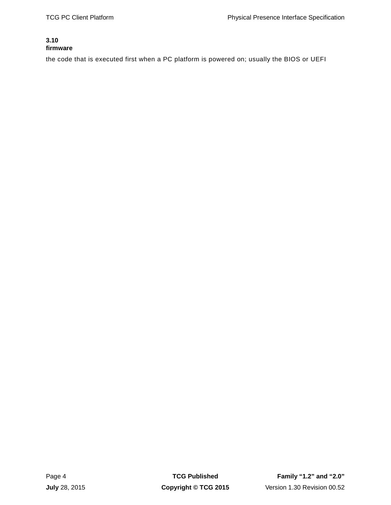### **3.10 firmware**

the code that is executed first when a PC platform is powered on; usually the BIOS or UEFI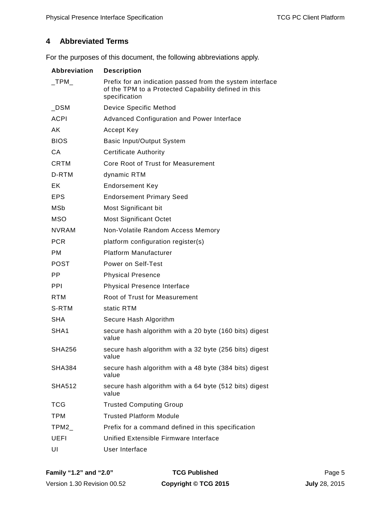# <span id="page-14-0"></span>**4 Abbreviated Terms**

For the purposes of this document, the following abbreviations apply.

| <b>Abbreviation</b> | <b>Description</b>                                                                                                                 |  |  |  |
|---------------------|------------------------------------------------------------------------------------------------------------------------------------|--|--|--|
| $\_TPM$             | Prefix for an indication passed from the system interface<br>of the TPM to a Protected Capability defined in this<br>specification |  |  |  |
| $\_DSM$             | Device Specific Method                                                                                                             |  |  |  |
| <b>ACPI</b>         | <b>Advanced Configuration and Power Interface</b>                                                                                  |  |  |  |
| AK                  | Accept Key                                                                                                                         |  |  |  |
| <b>BIOS</b>         | <b>Basic Input/Output System</b>                                                                                                   |  |  |  |
| <b>CA</b>           | <b>Certificate Authority</b>                                                                                                       |  |  |  |
| <b>CRTM</b>         | Core Root of Trust for Measurement                                                                                                 |  |  |  |
| D-RTM               | dynamic RTM                                                                                                                        |  |  |  |
| EK                  | <b>Endorsement Key</b>                                                                                                             |  |  |  |
| <b>EPS</b>          | <b>Endorsement Primary Seed</b>                                                                                                    |  |  |  |
| MSb                 | Most Significant bit                                                                                                               |  |  |  |
| <b>MSO</b>          | <b>Most Significant Octet</b>                                                                                                      |  |  |  |
| <b>NVRAM</b>        | Non-Volatile Random Access Memory                                                                                                  |  |  |  |
| <b>PCR</b>          | platform configuration register(s)                                                                                                 |  |  |  |
| <b>PM</b>           | <b>Platform Manufacturer</b>                                                                                                       |  |  |  |
| POST                | Power on Self-Test                                                                                                                 |  |  |  |
| PP.                 | <b>Physical Presence</b>                                                                                                           |  |  |  |
| <b>PPI</b>          | <b>Physical Presence Interface</b>                                                                                                 |  |  |  |
| <b>RTM</b>          | Root of Trust for Measurement                                                                                                      |  |  |  |
| S-RTM               | static RTM                                                                                                                         |  |  |  |
| <b>SHA</b>          | Secure Hash Algorithm                                                                                                              |  |  |  |
| SHA1                | secure hash algorithm with a 20 byte (160 bits) digest<br>value                                                                    |  |  |  |
| <b>SHA256</b>       | secure hash algorithm with a 32 byte (256 bits) digest<br>value                                                                    |  |  |  |
| SHA384              | secure hash algorithm with a 48 byte (384 bits) digest<br>value                                                                    |  |  |  |
| SHA512              | secure hash algorithm with a 64 byte (512 bits) digest<br>value                                                                    |  |  |  |
| <b>TCG</b>          | <b>Trusted Computing Group</b>                                                                                                     |  |  |  |
| <b>TPM</b>          | <b>Trusted Platform Module</b>                                                                                                     |  |  |  |
| TPM2                | Prefix for a command defined in this specification                                                                                 |  |  |  |
| <b>UEFI</b>         | Unified Extensible Firmware Interface                                                                                              |  |  |  |
| UI                  | User Interface                                                                                                                     |  |  |  |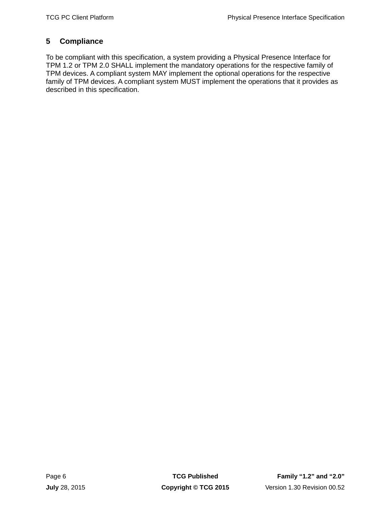# <span id="page-15-0"></span>**5 Compliance**

To be compliant with this specification, a system providing a Physical Presence Interface for TPM 1.2 or TPM 2.0 SHALL implement the mandatory operations for the respective family of TPM devices. A compliant system MAY implement the optional operations for the respective family of TPM devices. A compliant system MUST implement the operations that it provides as described in this specification.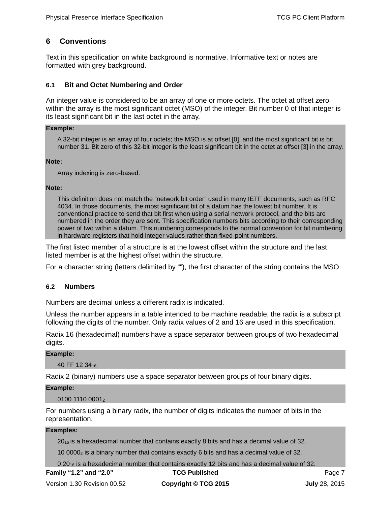# <span id="page-16-0"></span>**6 Conventions**

Text in this specification on white background is normative. Informative text or notes are formatted with grey background.

### <span id="page-16-1"></span>**6.1 Bit and Octet Numbering and Order**

An integer value is considered to be an array of one or more octets. The octet at offset zero within the array is the most significant octet (MSO) of the integer. Bit number 0 of that integer is its least significant bit in the last octet in the array.

### **Example:**

A 32-bit integer is an array of four octets; the MSO is at offset [0], and the most significant bit is bit number 31. Bit zero of this 32-bit integer is the least significant bit in the octet at offset [3] in the array.

### **Note:**

Array indexing is zero-based.

### **Note:**

This definition does not match the "network bit order" used in many IETF documents, such as RFC 4034. In those documents, the most significant bit of a datum has the lowest bit number. It is conventional practice to send that bit first when using a serial network protocol, and the bits are numbered in the order they are sent. This specification numbers bits according to their corresponding power of two within a datum. This numbering corresponds to the normal convention for bit numbering in hardware registers that hold integer values rather than fixed-point numbers.

The first listed member of a structure is at the lowest offset within the structure and the last listed member is at the highest offset within the structure.

For a character string (letters delimited by ""), the first character of the string contains the MSO.

### <span id="page-16-2"></span>**6.2 Numbers**

Numbers are decimal unless a different radix is indicated.

Unless the number appears in a table intended to be machine readable, the radix is a subscript following the digits of the number. Only radix values of 2 and 16 are used in this specification.

Radix 16 (hexadecimal) numbers have a space separator between groups of two hexadecimal digits.

### **Example:**

40 FF 12 3416

Radix 2 (binary) numbers use a space separator between groups of four binary digits.

### **Example:**

0100 1110 00012

For numbers using a binary radix, the number of digits indicates the number of bits in the representation.

### **Examples:**

 $20_{16}$  is a hexadecimal number that contains exactly 8 bits and has a decimal value of 32.

10 00002 is a binary number that contains exactly 6 bits and has a decimal value of 32.

0 20<sub>16</sub> is a hexadecimal number that contains exactly 12 bits and has a decimal value of 32.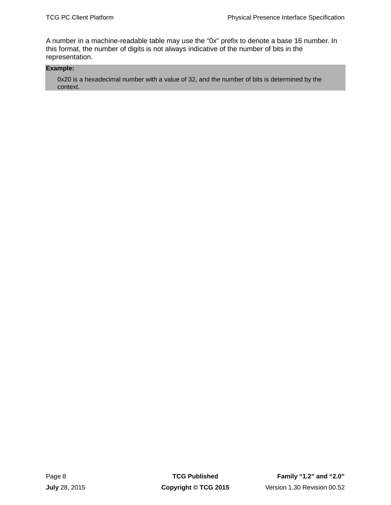A number in a machine-readable table may use the "0x" prefix to denote a base 16 number. In this format, the number of digits is not always indicative of the number of bits in the representation.

### **Example:**

0x20 is a hexadecimal number with a value of 32, and the number of bits is determined by the context.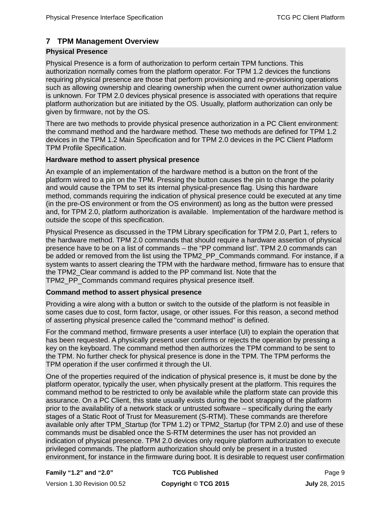# <span id="page-18-0"></span>**7 TPM Management Overview**

### **Physical Presence**

Physical Presence is a form of authorization to perform certain TPM functions. This authorization normally comes from the platform operator. For TPM 1.2 devices the functions requiring physical presence are those that perform provisioning and re-provisioning operations such as allowing ownership and clearing ownership when the current owner authorization value is unknown. For TPM 2.0 devices physical presence is associated with operations that require platform authorization but are initiated by the OS. Usually, platform authorization can only be given by firmware, not by the OS.

There are two methods to provide physical presence authorization in a PC Client environment: the command method and the hardware method. These two methods are defined for TPM 1.2 devices in the TPM 1.2 Main Specification and for TPM 2.0 devices in the PC Client Platform TPM Profile Specification.

### **Hardware method to assert physical presence**

An example of an implementation of the hardware method is a button on the front of the platform wired to a pin on the TPM. Pressing the button causes the pin to change the polarity and would cause the TPM to set its internal physical-presence flag. Using this hardware method, commands requiring the indication of physical presence could be executed at any time (in the pre-OS environment or from the OS environment) as long as the button were pressed and, for TPM 2.0, platform authorization is available. Implementation of the hardware method is outside the scope of this specification.

Physical Presence as discussed in the TPM Library specification for TPM 2.0, Part 1, refers to the hardware method. TPM 2.0 commands that should require a hardware assertion of physical presence have to be on a list of commands – the "PP command list". TPM 2.0 commands can be added or removed from the list using the TPM2\_PP\_Commands command. For instance, if a system wants to assert clearing the TPM with the hardware method, firmware has to ensure that the TPM2\_Clear command is added to the PP command list. Note that the TPM2\_PP\_Commands command requires physical presence itself.

### **Command method to assert physical presence**

Providing a wire along with a button or switch to the outside of the platform is not feasible in some cases due to cost, form factor, usage, or other issues. For this reason, a second method of asserting physical presence called the "command method" is defined.

For the command method, firmware presents a user interface (UI) to explain the operation that has been requested. A physically present user confirms or rejects the operation by pressing a key on the keyboard. The command method then authorizes the TPM command to be sent to the TPM. No further check for physical presence is done in the TPM. The TPM performs the TPM operation if the user confirmed it through the UI.

One of the properties required of the indication of physical presence is, it must be done by the platform operator, typically the user, when physically present at the platform. This requires the command method to be restricted to only be available while the platform state can provide this assurance. On a PC Client, this state usually exists during the boot strapping of the platform prior to the availability of a network stack or untrusted software – specifically during the early stages of a Static Root of Trust for Measurement (S-RTM). These commands are therefore available only after TPM\_Startup (for TPM 1.2) or TPM2\_Startup (for TPM 2.0) and use of these commands must be disabled once the S-RTM determines the user has not provided an indication of physical presence. TPM 2.0 devices only require platform authorization to execute privileged commands. The platform authorization should only be present in a trusted environment, for instance in the firmware during boot. It is desirable to request user confirmation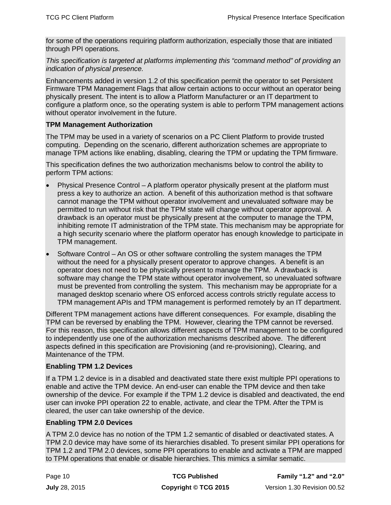for some of the operations requiring platform authorization, especially those that are initiated through PPI operations.

*This specification is targeted at platforms implementing this "command method" of providing an indication of physical presence.* 

Enhancements added in version 1.2 of this specification permit the operator to set Persistent Firmware TPM Management Flags that allow certain actions to occur without an operator being physically present. The intent is to allow a Platform Manufacturer or an IT department to configure a platform once, so the operating system is able to perform TPM management actions without operator involvement in the future.

# **TPM Management Authorization**

The TPM may be used in a variety of scenarios on a PC Client Platform to provide trusted computing. Depending on the scenario, different authorization schemes are appropriate to manage TPM actions like enabling, disabling, clearing the TPM or updating the TPM firmware.

This specification defines the two authorization mechanisms below to control the ability to perform TPM actions:

- Physical Presence Control A platform operator physically present at the platform must press a key to authorize an action. A benefit of this authorization method is that software cannot manage the TPM without operator involvement and unevaluated software may be permitted to run without risk that the TPM state will change without operator approval. A drawback is an operator must be physically present at the computer to manage the TPM, inhibiting remote IT administration of the TPM state. This mechanism may be appropriate for a high security scenario where the platform operator has enough knowledge to participate in TPM management.
- Software Control An OS or other software controlling the system manages the TPM without the need for a physically present operator to approve changes. A benefit is an operator does not need to be physically present to manage the TPM. A drawback is software may change the TPM state without operator involvement, so unevaluated software must be prevented from controlling the system. This mechanism may be appropriate for a managed desktop scenario where OS enforced access controls strictly regulate access to TPM management APIs and TPM management is performed remotely by an IT department.

Different TPM management actions have different consequences. For example, disabling the TPM can be reversed by enabling the TPM. However, clearing the TPM cannot be reversed. For this reason, this specification allows different aspects of TPM management to be configured to independently use one of the authorization mechanisms described above. The different aspects defined in this specification are Provisioning (and re-provisioning), Clearing, and Maintenance of the TPM.

### **Enabling TPM 1.2 Devices**

If a TPM 1.2 device is in a disabled and deactivated state there exist multiple PPI operations to enable and active the TPM device. An end-user can enable the TPM device and then take ownership of the device. For example if the TPM 1.2 device is disabled and deactivated, the end user can invoke PPI operation 22 to enable, activate, and clear the TPM. After the TPM is cleared, the user can take ownership of the device.

### **Enabling TPM 2.0 Devices**

A TPM 2.0 device has no notion of the TPM 1.2 semantic of disabled or deactivated states. A TPM 2.0 device may have some of its hierarchies disabled. To present similar PPI operations for TPM 1.2 and TPM 2.0 devices, some PPI operations to enable and activate a TPM are mapped to TPM operations that enable or disable hierarchies. This mimics a similar sematic.

| Page 10       | <b>TCG Published</b> | <b>Family "1.2" and "2.0"</b> |
|---------------|----------------------|-------------------------------|
| July 28, 2015 | Copyright © TCG 2015 | Version 1.30 Revision 00.52   |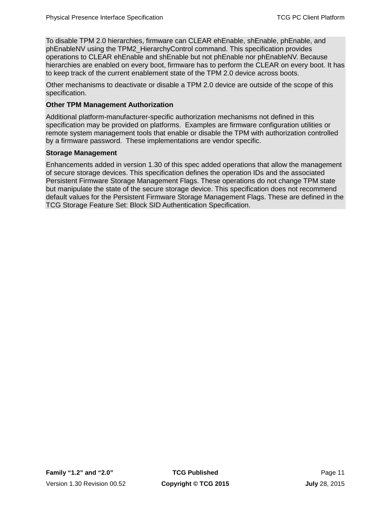To disable TPM 2.0 hierarchies, firmware can CLEAR ehEnable, shEnable, phEnable, and phEnableNV using the TPM2\_HierarchyControl command. This specification provides operations to CLEAR ehEnable and shEnable but not phEnable nor phEnableNV. Because hierarchies are enabled on every boot, firmware has to perform the CLEAR on every boot. It has to keep track of the current enablement state of the TPM 2.0 device across boots.

Other mechanisms to deactivate or disable a TPM 2.0 device are outside of the scope of this specification.

# **Other TPM Management Authorization**

Additional platform-manufacturer-specific authorization mechanisms not defined in this specification may be provided on platforms. Examples are firmware configuration utilities or remote system management tools that enable or disable the TPM with authorization controlled by a firmware password. These implementations are vendor specific.

### **Storage Management**

Enhancements added in version 1.30 of this spec added operations that allow the management of secure storage devices. This specification defines the operation IDs and the associated Persistent Firmware Storage Management Flags. These operations do not change TPM state but manipulate the state of the secure storage device. This specification does not recommend default values for the Persistent Firmware Storage Management Flags. These are defined in the TCG Storage Feature Set: Block SID Authentication Specification.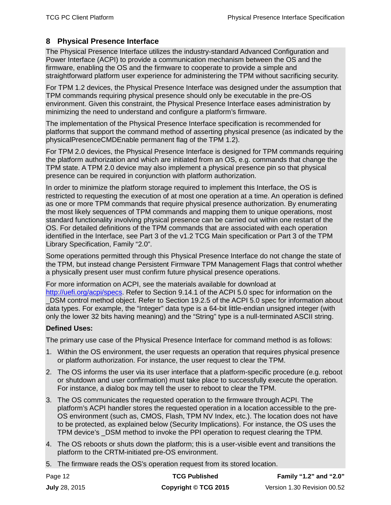# <span id="page-21-0"></span>**8 Physical Presence Interface**

The Physical Presence Interface utilizes the industry-standard Advanced Configuration and Power Interface (ACPI) to provide a communication mechanism between the OS and the firmware, enabling the OS and the firmware to cooperate to provide a simple and straightforward platform user experience for administering the TPM without sacrificing security.

For TPM 1.2 devices, the Physical Presence Interface was designed under the assumption that TPM commands requiring physical presence should only be executable in the pre-OS environment. Given this constraint, the Physical Presence Interface eases administration by minimizing the need to understand and configure a platform's firmware.

The implementation of the Physical Presence Interface specification is recommended for platforms that support the command method of asserting physical presence (as indicated by the physicalPresenceCMDEnable permanent flag of the TPM 1.2).

For TPM 2.0 devices, the Physical Presence Interface is designed for TPM commands requiring the platform authorization and which are initiated from an OS, e.g. commands that change the TPM state. A TPM 2.0 device may also implement a physical presence pin so that physical presence can be required in conjunction with platform authorization.

In order to minimize the platform storage required to implement this Interface, the OS is restricted to requesting the execution of at most one operation at a time. An operation is defined as one or more TPM commands that require physical presence authorization. By enumerating the most likely sequences of TPM commands and mapping them to unique operations, most standard functionality involving physical presence can be carried out within one restart of the OS. For detailed definitions of the TPM commands that are associated with each operation identified in the Interface, see Part 3 of the v1.2 TCG Main specification or Part 3 of the TPM Library Specification, Family "2.0".

Some operations permitted through this Physical Presence Interface do not change the state of the TPM, but instead change Persistent Firmware TPM Management Flags that control whether a physically present user must confirm future physical presence operations.

For more information on ACPI, see the materials available for download at [http://uefi.org/acpi/specs.](http://uefi.org/acpi/specs) Refer to Section 9.14.1 of the ACPI 5.0 spec for information on the DSM control method object. Refer to Section 19.2.5 of the ACPI 5.0 spec for information about data types. For example, the "Integer" data type is a 64-bit little-endian unsigned integer (with only the lower 32 bits having meaning) and the "String" type is a null-terminated ASCII string.

### **Defined Uses:**

The primary use case of the Physical Presence Interface for command method is as follows:

- 1. Within the OS environment, the user requests an operation that requires physical presence or platform authorization. For instance, the user request to clear the TPM.
- 2. The OS informs the user via its user interface that a platform-specific procedure (e.g. reboot or shutdown and user confirmation) must take place to successfully execute the operation. For instance, a dialog box may tell the user to reboot to clear the TPM.
- 3. The OS communicates the requested operation to the firmware through ACPI. The platform's ACPI handler stores the requested operation in a location accessible to the pre-OS environment (such as, CMOS, Flash, TPM NV Index, etc.). The location does not have to be protected, as explained below (Security Implications). For instance, the OS uses the TPM device's \_DSM method to invoke the PPI operation to request clearing the TPM.
- 4. The OS reboots or shuts down the platform; this is a user-visible event and transitions the platform to the CRTM-initiated pre-OS environment.
- 5. The firmware reads the OS's operation request from its stored location.

| Page 12              | <b>TCG Published</b> | Family "1.2" and "2.0"      |
|----------------------|----------------------|-----------------------------|
| <b>July 28, 2015</b> | Copyright © TCG 2015 | Version 1.30 Revision 00.52 |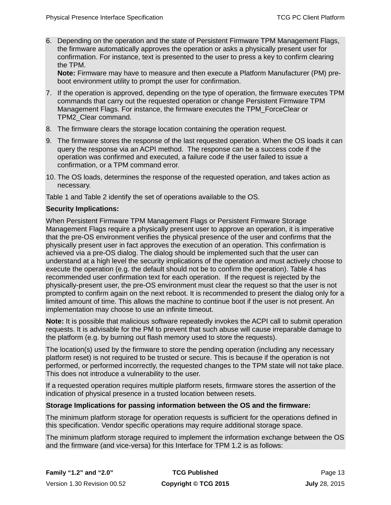6. Depending on the operation and the state of Persistent Firmware TPM Management Flags, the firmware automatically approves the operation or asks a physically present user for confirmation. For instance, text is presented to the user to press a key to confirm clearing the TPM.

**Note:** Firmware may have to measure and then execute a Platform Manufacturer (PM) preboot environment utility to prompt the user for confirmation.

- 7. If the operation is approved, depending on the type of operation, the firmware executes TPM commands that carry out the requested operation or change Persistent Firmware TPM Management Flags. For instance, the firmware executes the TPM\_ForceClear or TPM2\_Clear command.
- 8. The firmware clears the storage location containing the operation request.
- 9. The firmware stores the response of the last requested operation. When the OS loads it can query the response via an ACPI method. The response can be a success code if the operation was confirmed and executed, a failure code if the user failed to issue a confirmation, or a TPM command error.
- 10. The OS loads, determines the response of the requested operation, and takes action as necessary.

[Table 1](#page-42-0) an[d Table 2](#page-44-0) identify the set of operations available to the OS.

### **Security Implications:**

When Persistent Firmware TPM Management Flags or Persistent Firmware Storage Management Flags require a physically present user to approve an operation, it is imperative that the pre-OS environment verifies the physical presence of the user and confirms that the physically present user in fact approves the execution of an operation. This confirmation is achieved via a pre-OS dialog. The dialog should be implemented such that the user can understand at a high level the security implications of the operation and must actively choose to execute the operation (e.g. the default should not be to confirm the operation). [Table 4](#page-54-0) has recommended user confirmation text for each operation. If the request is rejected by the physically-present user, the pre-OS environment must clear the request so that the user is not prompted to confirm again on the next reboot. It is recommended to present the dialog only for a limited amount of time. This allows the machine to continue boot if the user is not present. An implementation may choose to use an infinite timeout.

**Note:** It is possible that malicious software repeatedly invokes the ACPI call to submit operation requests. It is advisable for the PM to prevent that such abuse will cause irreparable damage to the platform (e.g. by burning out flash memory used to store the requests).

The location(s) used by the firmware to store the pending operation (including any necessary platform reset) is not required to be trusted or secure. This is because if the operation is not performed, or performed incorrectly, the requested changes to the TPM state will not take place. This does not introduce a vulnerability to the user.

If a requested operation requires multiple platform resets, firmware stores the assertion of the indication of physical presence in a trusted location between resets.

### **Storage Implications for passing information between the OS and the firmware:**

The minimum platform storage for operation requests is sufficient for the operations defined in this specification. Vendor specific operations may require additional storage space.

The minimum platform storage required to implement the information exchange between the OS and the firmware (and vice-versa) for this Interface for TPM 1.2 is as follows: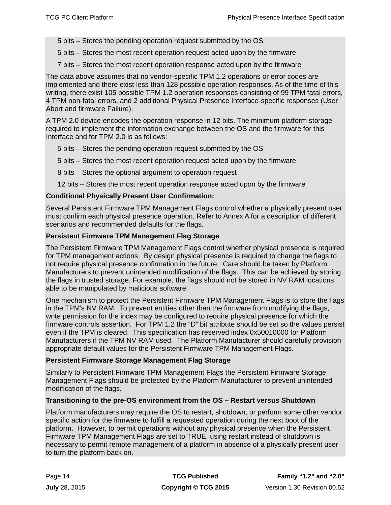5 bits – Stores the pending operation request submitted by the OS

5 bits – Stores the most recent operation request acted upon by the firmware

7 bits – Stores the most recent operation response acted upon by the firmware

The data above assumes that no vendor-specific TPM 1.2 operations or error codes are implemented and there exist less than 128 possible operation responses. As of the time of this writing, there exist 105 possible TPM 1.2 operation responses consisting of 99 TPM fatal errors, 4 TPM non-fatal errors, and 2 additional Physical Presence Interface-specific responses (User Abort and firmware Failure).

A TPM 2.0 device encodes the operation response in 12 bits. The minimum platform storage required to implement the information exchange between the OS and the firmware for this Interface and for TPM 2.0 is as follows:

5 bits – Stores the pending operation request submitted by the OS

- 5 bits Stores the most recent operation request acted upon by the firmware
- 8 bits Stores the optional argument to operation request

12 bits – Stores the most recent operation response acted upon by the firmware

### **Conditional Physically Present User Confirmation:**

Several Persistent Firmware TPM Management Flags control whether a physically present user must confirm each physical presence operation. Refer to Annex A for a description of different scenarios and recommended defaults for the flags.

### **Persistent Firmware TPM Management Flag Storage**

The Persistent Firmware TPM Management Flags control whether physical presence is required for TPM management actions. By design physical presence is required to change the flags to not require physical presence confirmation in the future. Care should be taken by Platform Manufacturers to prevent unintended modification of the flags. This can be achieved by storing the flags in trusted storage. For example, the flags should not be stored in NV RAM locations able to be manipulated by malicious software.

One mechanism to protect the Persistent Firmware TPM Management Flags is to store the flags in the TPM's NV RAM. To prevent entities other than the firmware from modifying the flags, write permission for the index may be configured to require physical presence for which the firmware controls assertion. For TPM 1.2 the "D" bit attribute should be set so the values persist even if the TPM is cleared. This specification has reserved index 0x50010000 for Platform Manufacturers if the TPM NV RAM used. The Platform Manufacturer should carefully provision appropriate default values for the Persistent Firmware TPM Management Flags.

### **Persistent Firmware Storage Management Flag Storage**

Similarly to Persistent Firmware TPM Management Flags the Persistent Firmware Storage Management Flags should be protected by the Platform Manufacturer to prevent unintended modification of the flags.

### **Transitioning to the pre-OS environment from the OS – Restart versus Shutdown**

Platform manufacturers may require the OS to restart, shutdown, or perform some other vendor specific action for the firmware to fulfill a requested operation during the next boot of the platform. However, to permit operations without any physical presence when the Persistent Firmware TPM Management Flags are set to TRUE, using restart instead of shutdown is necessary to permit remote management of a platform in absence of a physically present user to turn the platform back on.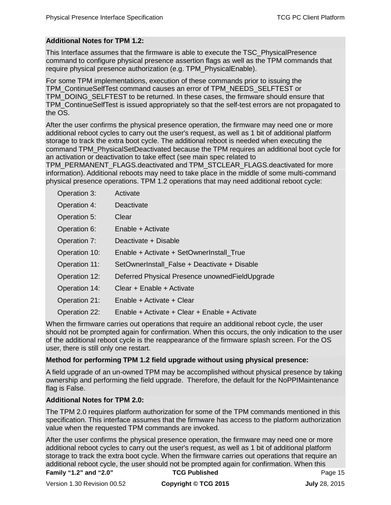# **Additional Notes for TPM 1.2:**

This Interface assumes that the firmware is able to execute the TSC\_PhysicalPresence command to configure physical presence assertion flags as well as the TPM commands that require physical presence authorization (e.g. TPM\_PhysicalEnable).

For some TPM implementations, execution of these commands prior to issuing the TPM\_ContinueSelfTest command causes an error of TPM\_NEEDS\_SELFTEST or TPM\_DOING\_SELFTEST to be returned. In these cases, the firmware should ensure that TPM\_ContinueSelfTest is issued appropriately so that the self-test errors are not propagated to the OS.

After the user confirms the physical presence operation, the firmware may need one or more additional reboot cycles to carry out the user's request, as well as 1 bit of additional platform storage to track the extra boot cycle. The additional reboot is needed when executing the command TPM\_PhysicalSetDeactivated because the TPM requires an additional boot cycle for an activation or deactivation to take effect (see main spec related to

TPM\_PERMANENT\_FLAGS.deactivated and TPM\_STCLEAR\_FLAGS.deactivated for more information). Additional reboots may need to take place in the middle of some multi-command physical presence operations. TPM 1.2 operations that may need additional reboot cycle:

| Operation 3:  | Activate                                         |
|---------------|--------------------------------------------------|
| Operation 4:  | Deactivate                                       |
| Operation 5:  | Clear                                            |
| Operation 6:  | Enable + Activate                                |
| Operation 7:  | Deactivate + Disable                             |
| Operation 10: | Enable + Activate + SetOwnerInstall True         |
| Operation 11: | SetOwnerInstall_False + Deactivate + Disable     |
| Operation 12: | Deferred Physical Presence unowned Field Upgrade |
| Operation 14: | Clear + Enable + Activate                        |
| Operation 21: | Enable + Activate + Clear                        |
| Operation 22: | Enable + Activate + Clear + Enable + Activate    |

When the firmware carries out operations that require an additional reboot cycle, the user should not be prompted again for confirmation. When this occurs, the only indication to the user of the additional reboot cycle is the reappearance of the firmware splash screen. For the OS user, there is still only one restart.

### **Method for performing TPM 1.2 field upgrade without using physical presence:**

A field upgrade of an un-owned TPM may be accomplished without physical presence by taking ownership and performing the field upgrade. Therefore, the default for the NoPPIMaintenance flag is False.

### **Additional Notes for TPM 2.0:**

The TPM 2.0 requires platform authorization for some of the TPM commands mentioned in this specification. This interface assumes that the firmware has access to the platform authorization value when the requested TPM commands are invoked.

**Family "1.2" and "2.0" <b>TCG Published Page 15** Page 15 After the user confirms the physical presence operation, the firmware may need one or more additional reboot cycles to carry out the user's request, as well as 1 bit of additional platform storage to track the extra boot cycle. When the firmware carries out operations that require an additional reboot cycle, the user should not be prompted again for confirmation. When this

Version 1.30 Revision 00.52 **Copyright © TCG 2015 July** 28, 2015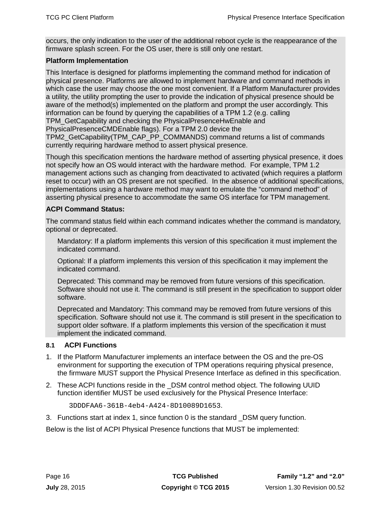occurs, the only indication to the user of the additional reboot cycle is the reappearance of the firmware splash screen. For the OS user, there is still only one restart.

# **Platform Implementation**

This Interface is designed for platforms implementing the command method for indication of physical presence. Platforms are allowed to implement hardware and command methods in which case the user may choose the one most convenient. If a Platform Manufacturer provides a utility, the utility prompting the user to provide the indication of physical presence should be aware of the method(s) implemented on the platform and prompt the user accordingly. This information can be found by querying the capabilities of a TPM 1.2 (e.g. calling TPM\_GetCapability and checking the PhysicalPresenceHwEnable and PhysicalPresenceCMDEnable flags). For a TPM 2.0 device the TPM2\_GetCapability(TPM\_CAP\_PP\_COMMANDS) command returns a list of commands currently requiring hardware method to assert physical presence.

Though this specification mentions the hardware method of asserting physical presence, it does not specify how an OS would interact with the hardware method. For example, TPM 1.2 management actions such as changing from deactivated to activated (which requires a platform reset to occur) with an OS present are not specified. In the absence of additional specifications, implementations using a hardware method may want to emulate the "command method" of asserting physical presence to accommodate the same OS interface for TPM management.

# **ACPI Command Status:**

The command status field within each command indicates whether the command is mandatory, optional or deprecated.

Mandatory: If a platform implements this version of this specification it must implement the indicated command.

Optional: If a platform implements this version of this specification it may implement the indicated command.

Deprecated: This command may be removed from future versions of this specification. Software should not use it. The command is still present in the specification to support older software.

Deprecated and Mandatory: This command may be removed from future versions of this specification. Software should not use it. The command is still present in the specification to support older software. If a platform implements this version of the specification it must implement the indicated command.

# <span id="page-25-0"></span>**8.1 ACPI Functions**

- 1. If the Platform Manufacturer implements an interface between the OS and the pre-OS environment for supporting the execution of TPM operations requiring physical presence, the firmware MUST support the Physical Presence Interface as defined in this specification.
- 2. These ACPI functions reside in the \_DSM control method object. The following UUID function identifier MUST be used exclusively for the Physical Presence Interface:

```
3DDDFAA6-361B-4eb4-A424-8D10089D1653.
```
3. Functions start at index 1, since function 0 is the standard \_DSM query function.

Below is the list of ACPI Physical Presence functions that MUST be implemented: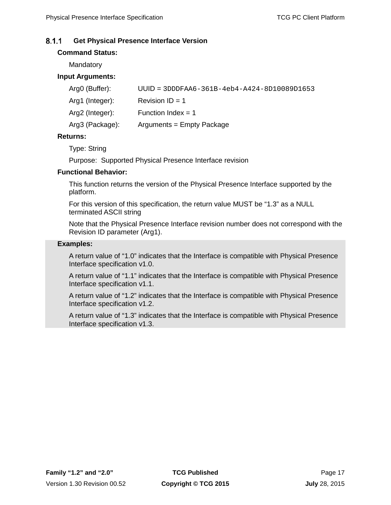#### <span id="page-26-0"></span> $8.1.1$ **Get Physical Presence Interface Version**

# **Command Status:**

**Mandatory** 

# **Input Arguments:**

| $UUID = 3DDDFAA6 - 361B - 4eb4 - A424 - 8D10089D1653$ |
|-------------------------------------------------------|
| Revision $ID = 1$                                     |
| Function Index = $1$                                  |
| Arguments = Empty Package                             |
|                                                       |

### **Returns:**

Type: String

Purpose: Supported Physical Presence Interface revision

# **Functional Behavior:**

This function returns the version of the Physical Presence Interface supported by the platform.

For this version of this specification, the return value MUST be "1.3" as a NULL terminated ASCII string

Note that the Physical Presence Interface revision number does not correspond with the Revision ID parameter (Arg1).

### **Examples:**

A return value of "1.0" indicates that the Interface is compatible with Physical Presence Interface specification v1.0.

A return value of "1.1" indicates that the Interface is compatible with Physical Presence Interface specification v1.1.

A return value of "1.2" indicates that the Interface is compatible with Physical Presence Interface specification v1.2.

A return value of "1.3" indicates that the Interface is compatible with Physical Presence Interface specification v1.3.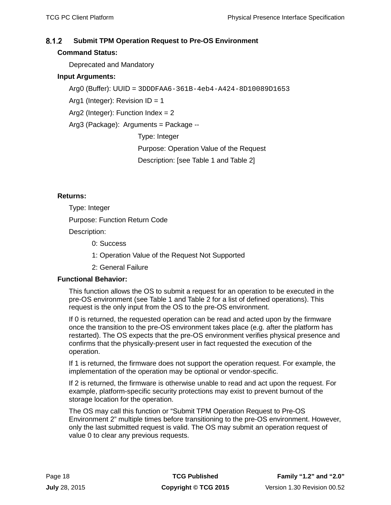#### <span id="page-27-0"></span> $8.1.2$ **Submit TPM Operation Request to Pre-OS Environment**

# **Command Status:**

Deprecated and Mandatory

# **Input Arguments:**

Arg0 (Buffer): UUID = 3DDDFAA6-361B-4eb4-A424-8D10089D1653

Arg1 (Integer): Revision  $ID = 1$ 

Arg2 (Integer): Function Index = 2

Arg3 (Package): Arguments = Package --

Type: Integer

Purpose: Operation Value of the Request

Description: [see [Table 1](#page-42-0) and [Table 2\]](#page-44-0)

# **Returns:**

Type: Integer

Purpose: Function Return Code

Description:

0: Success

- 1: Operation Value of the Request Not Supported
- 2: General Failure

# **Functional Behavior:**

This function allows the OS to submit a request for an operation to be executed in the pre-OS environment (see [Table 1](#page-42-0) and [Table 2](#page-44-0) for a list of defined operations). This request is the only input from the OS to the pre-OS environment.

If 0 is returned, the requested operation can be read and acted upon by the firmware once the transition to the pre-OS environment takes place (e.g. after the platform has restarted). The OS expects that the pre-OS environment verifies physical presence and confirms that the physically-present user in fact requested the execution of the operation.

If 1 is returned, the firmware does not support the operation request. For example, the implementation of the operation may be optional or vendor-specific.

If 2 is returned, the firmware is otherwise unable to read and act upon the request. For example, platform-specific security protections may exist to prevent burnout of the storage location for the operation.

The OS may call this function or "Submit TPM Operation Request to Pre-OS Environment 2" multiple times before transitioning to the pre-OS environment. However, only the last submitted request is valid. The OS may submit an operation request of value 0 to clear any previous requests.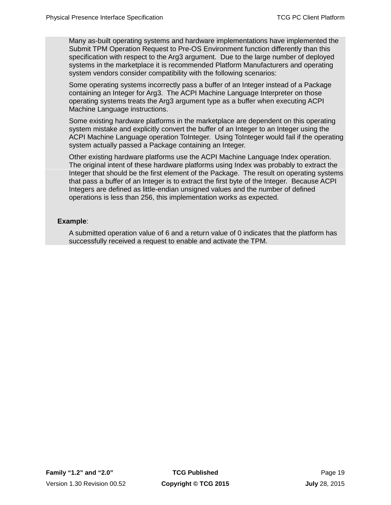Many as-built operating systems and hardware implementations have implemented the Submit TPM Operation Request to Pre-OS Environment function differently than this specification with respect to the Arg3 argument. Due to the large number of deployed systems in the marketplace it is recommended Platform Manufacturers and operating system vendors consider compatibility with the following scenarios:

Some operating systems incorrectly pass a buffer of an Integer instead of a Package containing an Integer for Arg3. The ACPI Machine Language Interpreter on those operating systems treats the Arg3 argument type as a buffer when executing ACPI Machine Language instructions.

Some existing hardware platforms in the marketplace are dependent on this operating system mistake and explicitly convert the buffer of an Integer to an Integer using the ACPI Machine Language operation ToInteger. Using ToInteger would fail if the operating system actually passed a Package containing an Integer.

Other existing hardware platforms use the ACPI Machine Language Index operation. The original intent of these hardware platforms using Index was probably to extract the Integer that should be the first element of the Package. The result on operating systems that pass a buffer of an Integer is to extract the first byte of the Integer. Because ACPI Integers are defined as little-endian unsigned values and the number of defined operations is less than 256, this implementation works as expected.

### **Example**:

A submitted operation value of 6 and a return value of 0 indicates that the platform has successfully received a request to enable and activate the TPM.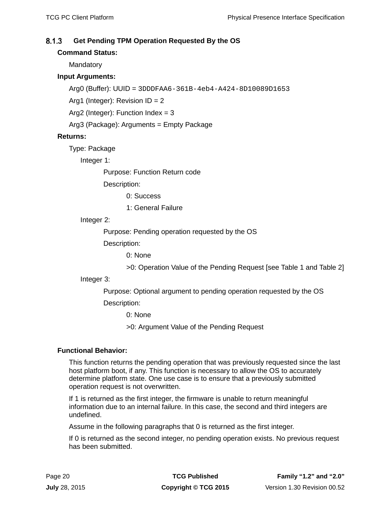#### <span id="page-29-0"></span> $8.1.3$ **Get Pending TPM Operation Requested By the OS**

# **Command Status:**

**Mandatory** 

# **Input Arguments:**

Arg0 (Buffer): UUID = 3DDDFAA6-361B-4eb4-A424-8D10089D1653

Arg1 (Integer): Revision ID = 2

Arg2 (Integer): Function Index = 3

Arg3 (Package): Arguments = Empty Package

# **Returns:**

Type: Package

Integer 1:

Purpose: Function Return code

Description:

0: Success

1: General Failure

# Integer 2:

Purpose: Pending operation requested by the OS

Description:

0: None

>0: Operation Value of the Pending Request [see [Table 1](#page-42-0) and [Table 2\]](#page-44-0)

### Integer 3:

Purpose: Optional argument to pending operation requested by the OS

Description:

0: None

>0: Argument Value of the Pending Request

# **Functional Behavior:**

This function returns the pending operation that was previously requested since the last host platform boot, if any. This function is necessary to allow the OS to accurately determine platform state. One use case is to ensure that a previously submitted operation request is not overwritten.

If 1 is returned as the first integer, the firmware is unable to return meaningful information due to an internal failure. In this case, the second and third integers are undefined.

Assume in the following paragraphs that 0 is returned as the first integer.

If 0 is returned as the second integer, no pending operation exists. No previous request has been submitted.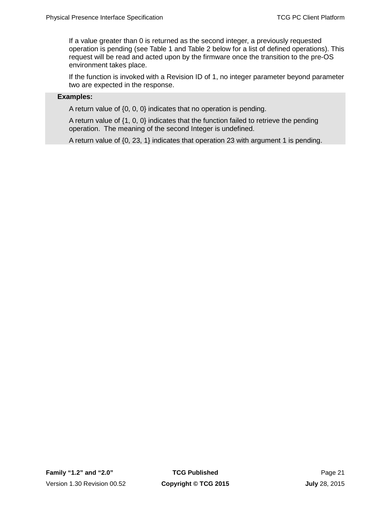If a value greater than 0 is returned as the second integer, a previously requested operation is pending (see [Table 1](#page-42-0) and [Table 2](#page-44-0) below for a list of defined operations). This request will be read and acted upon by the firmware once the transition to the pre-OS environment takes place.

If the function is invoked with a Revision ID of 1, no integer parameter beyond parameter two are expected in the response.

### **Examples:**

A return value of {0, 0, 0} indicates that no operation is pending.

A return value of {1, 0, 0} indicates that the function failed to retrieve the pending operation. The meaning of the second Integer is undefined.

A return value of {0, 23, 1} indicates that operation 23 with argument 1 is pending.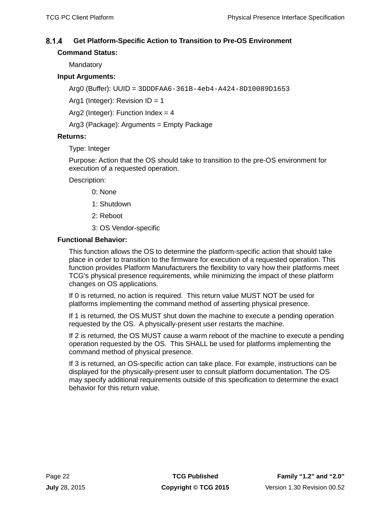#### <span id="page-31-0"></span> $8.1.4$ **Get Platform-Specific Action to Transition to Pre-OS Environment**

# **Command Status:**

**Mandatory** 

# **Input Arguments:**

Arg0 (Buffer): UUID = 3DDDFAA6-361B-4eb4-A424-8D10089D1653

Arg1 (Integer): Revision  $ID = 1$ 

Arg2 (Integer): Function Index =  $4$ 

Arg3 (Package): Arguments = Empty Package

### **Returns:**

Type: Integer

Purpose: Action that the OS should take to transition to the pre-OS environment for execution of a requested operation.

Description:

- 0: None
- 1: Shutdown
- 2: Reboot
- 3: OS Vendor-specific

### **Functional Behavior:**

This function allows the OS to determine the platform-specific action that should take place in order to transition to the firmware for execution of a requested operation. This function provides Platform Manufacturers the flexibility to vary how their platforms meet TCG's physical presence requirements, while minimizing the impact of these platform changes on OS applications.

If 0 is returned, no action is required. This return value MUST NOT be used for platforms implementing the command method of asserting physical presence.

If 1 is returned, the OS MUST shut down the machine to execute a pending operation requested by the OS. A physically-present user restarts the machine.

If 2 is returned, the OS MUST cause a warm reboot of the machine to execute a pending operation requested by the OS. This SHALL be used for platforms implementing the command method of physical presence.

If 3 is returned, an OS-specific action can take place. For example, instructions can be displayed for the physically-present user to consult platform documentation. The OS may specify additional requirements outside of this specification to determine the exact behavior for this return value.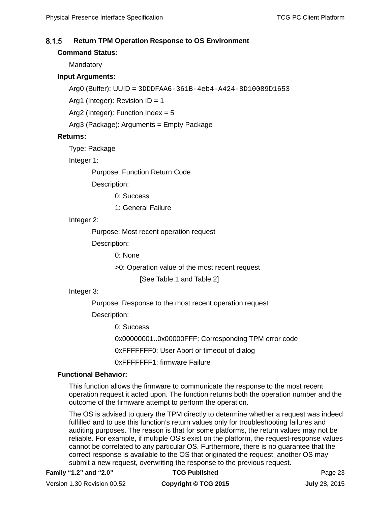#### <span id="page-32-0"></span> $8.1.5$ **Return TPM Operation Response to OS Environment**

### **Command Status:**

**Mandatory** 

# **Input Arguments:**

Arg0 (Buffer): UUID = 3DDDFAA6-361B-4eb4-A424-8D10089D1653

Arg1 (Integer): Revision  $ID = 1$ 

Arg2 (Integer): Function Index =  $5$ 

Arg3 (Package): Arguments = Empty Package

### **Returns:**

Type: Package

Integer 1:

Purpose: Function Return Code

Description:

0: Success

1: General Failure

### Integer 2:

Purpose: Most recent operation request

Description:

0: None

>0: Operation value of the most recent request

[See [Table 1](#page-42-0) and [Table 2\]](#page-44-0)

# Integer 3:

Purpose: Response to the most recent operation request

Description:

0: Success

0x00000001..0x00000FFF: Corresponding TPM error code

0xFFFFFFF0: User Abort or timeout of dialog

0xFFFFFFF1: firmware Failure

### **Functional Behavior:**

This function allows the firmware to communicate the response to the most recent operation request it acted upon. The function returns both the operation number and the outcome of the firmware attempt to perform the operation.

The OS is advised to query the TPM directly to determine whether a request was indeed fulfilled and to use this function's return values only for troubleshooting failures and auditing purposes. The reason is that for some platforms, the return values may not be reliable. For example, if multiple OS's exist on the platform, the request-response values cannot be correlated to any particular OS. Furthermore, there is no guarantee that the correct response is available to the OS that originated the request; another OS may submit a new request, overwriting the response to the previous request.

Version 1.30 Revision 00.52 **Copyright © TCG 2015 July** 28, 2015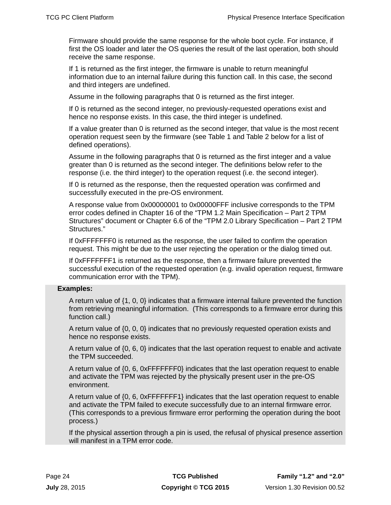Firmware should provide the same response for the whole boot cycle. For instance, if first the OS loader and later the OS queries the result of the last operation, both should receive the same response.

If 1 is returned as the first integer, the firmware is unable to return meaningful information due to an internal failure during this function call. In this case, the second and third integers are undefined.

Assume in the following paragraphs that 0 is returned as the first integer.

If 0 is returned as the second integer, no previously-requested operations exist and hence no response exists. In this case, the third integer is undefined.

If a value greater than 0 is returned as the second integer, that value is the most recent operation request seen by the firmware (see [Table 1](#page-42-0) and [Table 2](#page-44-0) below for a list of defined operations).

Assume in the following paragraphs that 0 is returned as the first integer and a value greater than 0 is returned as the second integer. The definitions below refer to the response (i.e. the third integer) to the operation request (i.e. the second integer).

If 0 is returned as the response, then the requested operation was confirmed and successfully executed in the pre-OS environment.

A response value from 0x00000001 to 0x00000FFF inclusive corresponds to the TPM error codes defined in Chapter 16 of the "TPM 1.2 Main Specification – Part 2 TPM Structures" document or Chapter 6.6 of the "TPM 2.0 Library Specification – Part 2 TPM Structures."

If 0xFFFFFFF0 is returned as the response, the user failed to confirm the operation request. This might be due to the user rejecting the operation or the dialog timed out.

If 0xFFFFFFF1 is returned as the response, then a firmware failure prevented the successful execution of the requested operation (e.g. invalid operation request, firmware communication error with the TPM).

### **Examples:**

A return value of {1, 0, 0} indicates that a firmware internal failure prevented the function from retrieving meaningful information. (This corresponds to a firmware error during this function call.)

A return value of {0, 0, 0} indicates that no previously requested operation exists and hence no response exists.

A return value of {0, 6, 0} indicates that the last operation request to enable and activate the TPM succeeded.

A return value of {0, 6, 0xFFFFFFF0} indicates that the last operation request to enable and activate the TPM was rejected by the physically present user in the pre-OS environment.

A return value of {0, 6, 0xFFFFFFF1} indicates that the last operation request to enable and activate the TPM failed to execute successfully due to an internal firmware error. (This corresponds to a previous firmware error performing the operation during the boot process.)

If the physical assertion through a pin is used, the refusal of physical presence assertion will manifest in a TPM error code.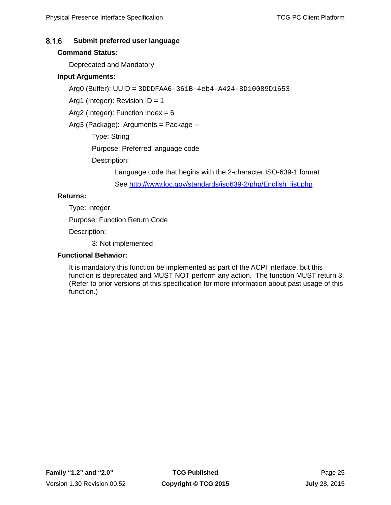#### <span id="page-34-0"></span> $8.1.6$ **Submit preferred user language**

# **Command Status:**

Deprecated and Mandatory

# **Input Arguments:**

Arg0 (Buffer): UUID = 3DDDFAA6-361B-4eb4-A424-8D10089D1653

Arg1 (Integer): Revision ID = 1

Arg2 (Integer): Function Index = 6

Arg3 (Package): Arguments = Package --

Type: String

Purpose: Preferred language code

Description:

Language code that begins with the 2-character ISO-639-1 format

See [http://www.loc.gov/standards/iso639-2/php/English\\_list.php](http://www.loc.gov/standards/iso639-2/php/English_list.php)

# **Returns:**

Type: Integer

Purpose: Function Return Code

Description:

3: Not implemented

# **Functional Behavior:**

It is mandatory this function be implemented as part of the ACPI interface, but this function is deprecated and MUST NOT perform any action. The function MUST return 3. (Refer to prior versions of this specification for more information about past usage of this function.)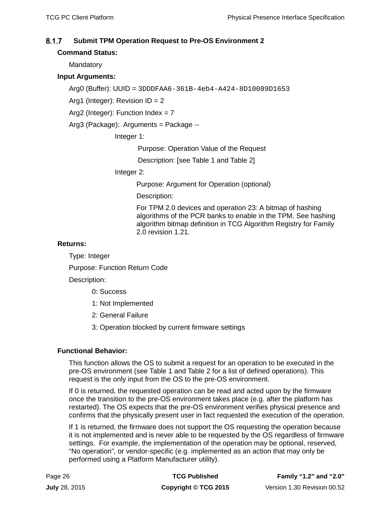#### <span id="page-35-0"></span> $8.1.7$ **Submit TPM Operation Request to Pre-OS Environment 2**

# **Command Status:**

**Mandatory** 

# **Input Arguments:**

```
Arg0 (Buffer): UUID = 3DDDFAA6-361B-4eb4-A424-8D10089D1653
```
Arg1 (Integer): Revision ID = 2

Arg2 (Integer): Function Index =  $7$ 

Arg3 (Package): Arguments = Package --

Integer 1:

Purpose: Operation Value of the Request

Description: [see [Table 1](#page-42-0) and [Table 2\]](#page-44-0)

Integer 2:

Purpose: Argument for Operation (optional)

Description:

For TPM 2.0 devices and operation 23: A bitmap of hashing algorithms of the PCR banks to enable in the TPM. See hashing algorithm bitmap definition in TCG Algorithm Registry for Family 2.0 revision 1.21.

# **Returns:**

Type: Integer

Purpose: Function Return Code

Description:

0: Success

- 1: Not Implemented
- 2: General Failure
- 3: Operation blocked by current firmware settings

# **Functional Behavior:**

This function allows the OS to submit a request for an operation to be executed in the pre-OS environment (see [Table 1](#page-42-0) and [Table 2](#page-44-0) for a list of defined operations). This request is the only input from the OS to the pre-OS environment.

If 0 is returned, the requested operation can be read and acted upon by the firmware once the transition to the pre-OS environment takes place (e.g. after the platform has restarted). The OS expects that the pre-OS environment verifies physical presence and confirms that the physically present user in fact requested the execution of the operation.

If 1 is returned, the firmware does not support the OS requesting the operation because it is not implemented and is never able to be requested by the OS regardless of firmware settings. For example, the implementation of the operation may be optional, reserved, "No operation", or vendor-specific (e.g. implemented as an action that may only be performed using a Platform Manufacturer utility).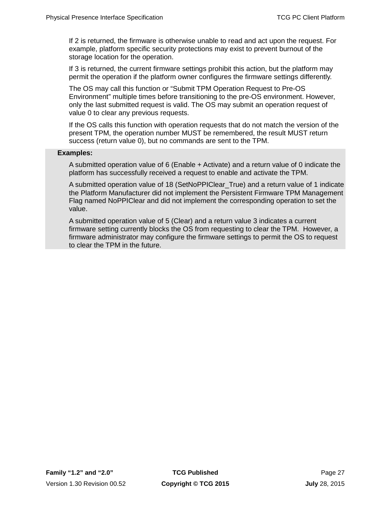If 2 is returned, the firmware is otherwise unable to read and act upon the request. For example, platform specific security protections may exist to prevent burnout of the storage location for the operation.

If 3 is returned, the current firmware settings prohibit this action, but the platform may permit the operation if the platform owner configures the firmware settings differently.

The OS may call this function or "Submit TPM Operation Request to Pre-OS Environment" multiple times before transitioning to the pre-OS environment. However, only the last submitted request is valid. The OS may submit an operation request of value 0 to clear any previous requests.

If the OS calls this function with operation requests that do not match the version of the present TPM, the operation number MUST be remembered, the result MUST return success (return value 0), but no commands are sent to the TPM.

### **Examples:**

A submitted operation value of 6 (Enable + Activate) and a return value of 0 indicate the platform has successfully received a request to enable and activate the TPM.

A submitted operation value of 18 (SetNoPPIClear\_True) and a return value of 1 indicate the Platform Manufacturer did not implement the Persistent Firmware TPM Management Flag named NoPPIClear and did not implement the corresponding operation to set the value.

A submitted operation value of 5 (Clear) and a return value 3 indicates a current firmware setting currently blocks the OS from requesting to clear the TPM. However, a firmware administrator may configure the firmware settings to permit the OS to request to clear the TPM in the future.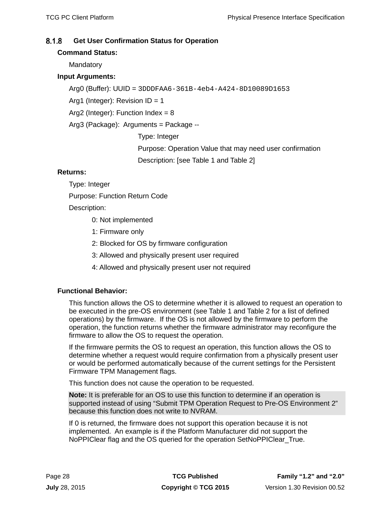#### <span id="page-37-0"></span> $8.1.8$ **Get User Confirmation Status for Operation**

# **Command Status:**

**Mandatory** 

# **Input Arguments:**

Arg0 (Buffer): UUID = 3DDDFAA6-361B-4eb4-A424-8D10089D1653

Arg1 (Integer): Revision  $ID = 1$ 

Arg2 (Integer): Function Index =  $8$ 

Arg3 (Package): Arguments = Package --

Type: Integer

Purpose: Operation Value that may need user confirmation Description: [see [Table 1](#page-42-0) and [Table 2\]](#page-44-0)

# **Returns:**

Type: Integer

Purpose: Function Return Code

Description:

- 0: Not implemented
- 1: Firmware only
- 2: Blocked for OS by firmware configuration
- 3: Allowed and physically present user required
- 4: Allowed and physically present user not required

# **Functional Behavior:**

This function allows the OS to determine whether it is allowed to request an operation to be executed in the pre-OS environment (see [Table 1](#page-42-0) and [Table 2](#page-44-0) for a list of defined operations) by the firmware. If the OS is not allowed by the firmware to perform the operation, the function returns whether the firmware administrator may reconfigure the firmware to allow the OS to request the operation.

If the firmware permits the OS to request an operation, this function allows the OS to determine whether a request would require confirmation from a physically present user or would be performed automatically because of the current settings for the Persistent Firmware TPM Management flags.

This function does not cause the operation to be requested.

**Note:** It is preferable for an OS to use this function to determine if an operation is supported instead of using "Submit TPM Operation Request to Pre-OS Environment 2" because this function does not write to NVRAM.

If 0 is returned, the firmware does not support this operation because it is not implemented. An example is if the Platform Manufacturer did not support the NoPPIClear flag and the OS queried for the operation SetNoPPIClear\_True.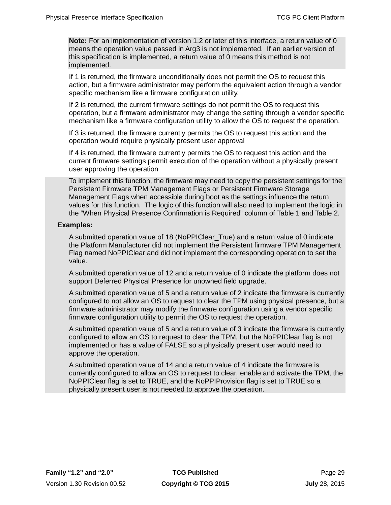**Note:** For an implementation of version 1.2 or later of this interface, a return value of 0 means the operation value passed in Arg3 is not implemented. If an earlier version of this specification is implemented, a return value of 0 means this method is not implemented.

If 1 is returned, the firmware unconditionally does not permit the OS to request this action, but a firmware administrator may perform the equivalent action through a vendor specific mechanism like a firmware configuration utility.

If 2 is returned, the current firmware settings do not permit the OS to request this operation, but a firmware administrator may change the setting through a vendor specific mechanism like a firmware configuration utility to allow the OS to request the operation.

If 3 is returned, the firmware currently permits the OS to request this action and the operation would require physically present user approval

If 4 is returned, the firmware currently permits the OS to request this action and the current firmware settings permit execution of the operation without a physically present user approving the operation

To implement this function, the firmware may need to copy the persistent settings for the Persistent Firmware TPM Management Flags or Persistent Firmware Storage Management Flags when accessible during boot as the settings influence the return values for this function. The logic of this function will also need to implement the logic in the "When Physical Presence Confirmation is Required" column of [Table 1](#page-42-0) and [Table 2.](#page-44-0)

### **Examples:**

A submitted operation value of 18 (NoPPIClear\_True) and a return value of 0 indicate the Platform Manufacturer did not implement the Persistent firmware TPM Management Flag named NoPPIClear and did not implement the corresponding operation to set the value.

A submitted operation value of 12 and a return value of 0 indicate the platform does not support Deferred Physical Presence for unowned field upgrade.

A submitted operation value of 5 and a return value of 2 indicate the firmware is currently configured to not allow an OS to request to clear the TPM using physical presence, but a firmware administrator may modify the firmware configuration using a vendor specific firmware configuration utility to permit the OS to request the operation.

A submitted operation value of 5 and a return value of 3 indicate the firmware is currently configured to allow an OS to request to clear the TPM, but the NoPPIClear flag is not implemented or has a value of FALSE so a physically present user would need to approve the operation.

A submitted operation value of 14 and a return value of 4 indicate the firmware is currently configured to allow an OS to request to clear, enable and activate the TPM, the NoPPIClear flag is set to TRUE, and the NoPPIProvision flag is set to TRUE so a physically present user is not needed to approve the operation.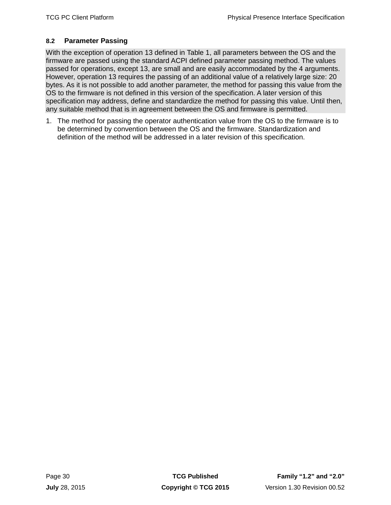# <span id="page-39-0"></span>**8.2 Parameter Passing**

With the exception of operation 13 defined in [Table 1,](#page-42-0) all parameters between the OS and the firmware are passed using the standard ACPI defined parameter passing method. The values passed for operations, except 13, are small and are easily accommodated by the 4 arguments. However, operation 13 requires the passing of an additional value of a relatively large size: 20 bytes. As it is not possible to add another parameter, the method for passing this value from the OS to the firmware is not defined in this version of the specification. A later version of this specification may address, define and standardize the method for passing this value. Until then, any suitable method that is in agreement between the OS and firmware is permitted.

1. The method for passing the operator authentication value from the OS to the firmware is to be determined by convention between the OS and the firmware. Standardization and definition of the method will be addressed in a later revision of this specification.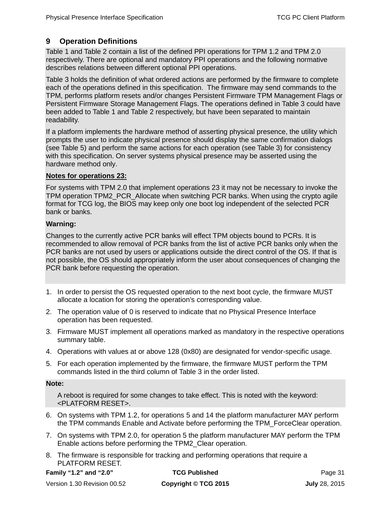# <span id="page-40-0"></span>**9 Operation Definitions**

[Table 1](#page-42-0) an[d Table 2](#page-44-0) contain a list of the defined PPI operations for TPM 1.2 and TPM 2.0 respectively. There are optional and mandatory PPI operations and the following normative describes relations between different optional PPI operations.

[Table 3](#page-46-0) holds the definition of what ordered actions are performed by the firmware to complete each of the operations defined in this specification. The firmware may send commands to the TPM, performs platform resets and/or changes Persistent Firmware TPM Management Flags or Persistent Firmware Storage Management Flags. The operations defined in [Table 3](#page-46-0) could have been added to [Table 1](#page-42-0) and [Table 2](#page-44-0) respectively, but have been separated to maintain readability.

If a platform implements the hardware method of asserting physical presence, the utility which prompts the user to indicate physical presence should display the same confirmation dialogs (see [Table 5\)](#page-61-0) and perform the same actions for each operation (see [Table 3\)](#page-46-0) for consistency with this specification. On server systems physical presence may be asserted using the hardware method only.

## **Notes for operations 23:**

For systems with TPM 2.0 that implement operations 23 it may not be necessary to invoke the TPM operation TPM2\_PCR\_Allocate when switching PCR banks. When using the crypto agile format for TCG log, the BIOS may keep only one boot log independent of the selected PCR bank or banks.

### **Warning:**

Changes to the currently active PCR banks will effect TPM objects bound to PCRs. It is recommended to allow removal of PCR banks from the list of active PCR banks only when the PCR banks are not used by users or applications outside the direct control of the OS. If that is not possible, the OS should appropriately inform the user about consequences of changing the PCR bank before requesting the operation.

- 1. In order to persist the OS requested operation to the next boot cycle, the firmware MUST allocate a location for storing the operation's corresponding value.
- 2. The operation value of 0 is reserved to indicate that no Physical Presence Interface operation has been requested.
- 3. Firmware MUST implement all operations marked as mandatory in the respective operations summary table.
- 4. Operations with values at or above 128 (0x80) are designated for vendor-specific usage.
- 5. For each operation implemented by the firmware, the firmware MUST perform the TPM commands listed in the third column of [Table](#page-46-0) 3 in the order listed.

### **Note:**

A reboot is required for some changes to take effect. This is noted with the keyword: <PLATFORM RESET>.

- 6. On systems with TPM 1.2, for operations 5 and 14 the platform manufacturer MAY perform the TPM commands Enable and Activate before performing the TPM\_ForceClear operation.
- 7. On systems with TPM 2.0, for operation 5 the platform manufacturer MAY perform the TPM Enable actions before performing the TPM2\_Clear operation.
- 8. The firmware is responsible for tracking and performing operations that require a PLATFORM RESET.

```
Family "1.2" and "2.0" TCG Published Page 31
```
Version 1.30 Revision 00.52 **Copyright © TCG 2015 July** 28, 2015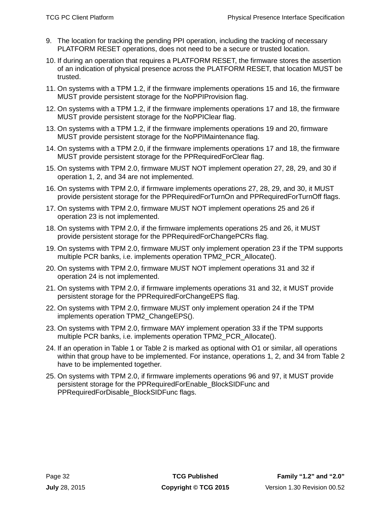- 9. The location for tracking the pending PPI operation, including the tracking of necessary PLATFORM RESET operations, does not need to be a secure or trusted location.
- 10. If during an operation that requires a PLATFORM RESET, the firmware stores the assertion of an indication of physical presence across the PLATFORM RESET, that location MUST be trusted.
- 11. On systems with a TPM 1.2, if the firmware implements operations 15 and 16, the firmware MUST provide persistent storage for the NoPPIProvision flag.
- 12. On systems with a TPM 1.2, if the firmware implements operations 17 and 18, the firmware MUST provide persistent storage for the NoPPIClear flag.
- 13. On systems with a TPM 1.2, if the firmware implements operations 19 and 20, firmware MUST provide persistent storage for the NoPPIMaintenance flag.
- 14. On systems with a TPM 2.0, if the firmware implements operations 17 and 18, the firmware MUST provide persistent storage for the PPRequiredForClear flag.
- 15. On systems with TPM 2.0, firmware MUST NOT implement operation 27, 28, 29, and 30 if operation 1, 2, and 34 are not implemented.
- 16. On systems with TPM 2.0, if firmware implements operations 27, 28, 29, and 30, it MUST provide persistent storage for the PPRequiredForTurnOn and PPRequiredForTurnOff flags.
- 17. On systems with TPM 2.0, firmware MUST NOT implement operations 25 and 26 if operation 23 is not implemented.
- 18. On systems with TPM 2.0, if the firmware implements operations 25 and 26, it MUST provide persistent storage for the PPRequiredForChangePCRs flag.
- 19. On systems with TPM 2.0, firmware MUST only implement operation 23 if the TPM supports multiple PCR banks, i.e. implements operation TPM2\_PCR\_Allocate().
- 20. On systems with TPM 2.0, firmware MUST NOT implement operations 31 and 32 if operation 24 is not implemented.
- 21. On systems with TPM 2.0, if firmware implements operations 31 and 32, it MUST provide persistent storage for the PPRequiredForChangeEPS flag.
- 22. On systems with TPM 2.0, firmware MUST only implement operation 24 if the TPM implements operation TPM2\_ChangeEPS().
- 23. On systems with TPM 2.0, firmware MAY implement operation 33 if the TPM supports multiple PCR banks, i.e. implements operation TPM2\_PCR\_Allocate().
- 24. If an operation in [Table 1](#page-42-0) or [Table 2](#page-44-0) is marked as optional with O1 or similar, all operations within that group have to be implemented. For instance, operations 1, 2, and 34 from [Table 2](#page-44-0) have to be implemented together.
- 25. On systems with TPM 2.0, if firmware implements operations 96 and 97, it MUST provide persistent storage for the PPRequiredForEnable\_BlockSIDFunc and PPRequiredForDisable\_BlockSIDFunc flags.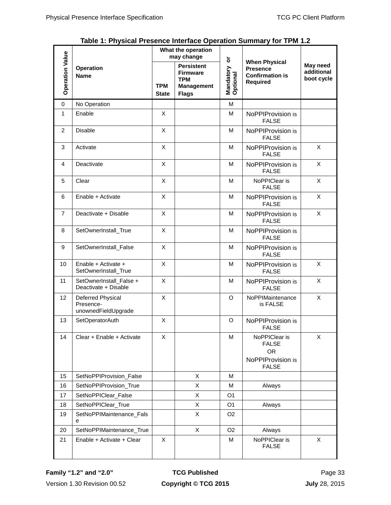<span id="page-42-0"></span>

|                        |                                                       | What the operation<br>may change |                                                                                         |                            |                                                                                      |                                      |
|------------------------|-------------------------------------------------------|----------------------------------|-----------------------------------------------------------------------------------------|----------------------------|--------------------------------------------------------------------------------------|--------------------------------------|
| <b>Operation Value</b> | <b>Operation</b><br><b>Name</b>                       | <b>TPM</b><br><b>State</b>       | <b>Persistent</b><br><b>Firmware</b><br><b>TPM</b><br><b>Management</b><br><b>Flags</b> | ŏ<br>Mandatory<br>Optional | <b>When Physical</b><br><b>Presence</b><br><b>Confirmation is</b><br><b>Required</b> | May need<br>additional<br>boot cycle |
| $\mathbf 0$            | No Operation                                          |                                  |                                                                                         | M                          |                                                                                      |                                      |
| 1                      | Enable                                                | X                                |                                                                                         | м                          | NoPPIProvision is<br><b>FALSE</b>                                                    |                                      |
| 2                      | <b>Disable</b>                                        | X                                |                                                                                         | M                          | NoPPIProvision is<br><b>FALSE</b>                                                    |                                      |
| 3                      | Activate                                              | X                                |                                                                                         | м                          | NoPPIProvision is<br><b>FALSE</b>                                                    | X                                    |
| 4                      | Deactivate                                            | X                                |                                                                                         | M                          | NoPPIProvision is<br><b>FALSE</b>                                                    | X                                    |
| 5                      | Clear                                                 | X                                |                                                                                         | M                          | NoPPIClear is<br><b>FALSE</b>                                                        | X                                    |
| 6                      | Enable + Activate                                     | X                                |                                                                                         | м                          | NoPPIProvision is<br><b>FALSE</b>                                                    | X                                    |
| $\overline{7}$         | Deactivate + Disable                                  | X                                |                                                                                         | м                          | NoPPIProvision is<br><b>FALSE</b>                                                    | X                                    |
| 8                      | SetOwnerInstall_True                                  | X                                |                                                                                         | м                          | NoPPIProvision is<br><b>FALSE</b>                                                    |                                      |
| 9                      | SetOwnerInstall_False                                 | X                                |                                                                                         | м                          | NoPPIProvision is<br><b>FALSE</b>                                                    |                                      |
| 10                     | Enable + Activate +<br>SetOwnerInstall_True           | X                                |                                                                                         | M                          | NoPPIProvision is<br><b>FALSE</b>                                                    | X                                    |
| 11                     | SetOwnerInstall_False +<br>Deactivate + Disable       | X                                |                                                                                         | М                          | NoPPIProvision is<br><b>FALSE</b>                                                    | X                                    |
| 12                     | Deferred Physical<br>Presence-<br>unownedFieldUpgrade | X                                |                                                                                         | O                          | NoPPIMaintenance<br>is FALSE                                                         | X                                    |
| 13                     | SetOperatorAuth                                       | X                                |                                                                                         | O                          | NoPPIProvision is<br><b>FALSE</b>                                                    |                                      |
| 14                     | Clear + Enable + Activate                             | X.                               |                                                                                         | M                          | NoPPIClear is<br><b>FALSE</b><br><b>OR</b><br>NoPPIProvision is<br><b>FALSE</b>      | X                                    |
| 15                     | SetNoPPIProvision_False                               |                                  | X                                                                                       | м                          |                                                                                      |                                      |
| 16                     | SetNoPPIProvision True                                |                                  | X                                                                                       | м                          | Always                                                                               |                                      |
| 17                     | SetNoPPIClear_False                                   |                                  | X                                                                                       | O <sub>1</sub>             |                                                                                      |                                      |
| 18                     | SetNoPPIClear_True                                    |                                  | X                                                                                       | O <sub>1</sub>             | Always                                                                               |                                      |
| 19                     | SetNoPPIMaintenance_Fals<br>е                         |                                  | X                                                                                       | O <sub>2</sub>             |                                                                                      |                                      |
| 20                     | SetNoPPIMaintenance_True                              |                                  | X                                                                                       | O <sub>2</sub>             | Always                                                                               |                                      |
| 21                     | Enable + Activate + Clear                             | X                                |                                                                                         | М                          | NoPPIClear is<br><b>FALSE</b>                                                        | X                                    |

**Table 1: Physical Presence Interface Operation Summary for TPM 1.2**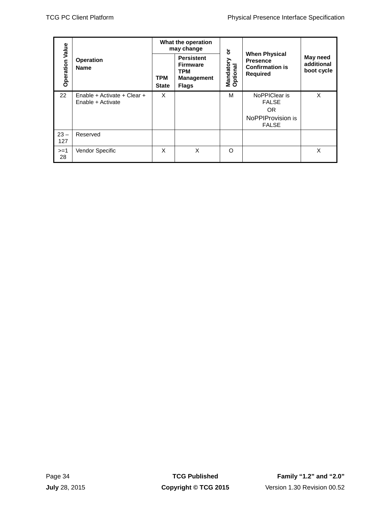|               |                        |                                                  | What the operation<br>may change |                                                                                         | $\overleftarrow{\mathbf{o}}$ |                                                                          |                                      |
|---------------|------------------------|--------------------------------------------------|----------------------------------|-----------------------------------------------------------------------------------------|------------------------------|--------------------------------------------------------------------------|--------------------------------------|
|               | <b>Operation Value</b> | Operation<br><b>Name</b>                         | <b>TPM</b><br><b>State</b>       | <b>Persistent</b><br><b>Firmware</b><br><b>TPM</b><br><b>Management</b><br><b>Flags</b> | Mandatory<br>Optional        | <b>When Physical</b><br>Presence<br><b>Confirmation is</b><br>Required   | May need<br>additional<br>boot cycle |
|               | 22                     | Enable + Activate + Clear +<br>Enable + Activate | X                                |                                                                                         | M                            | NoPPIClear is<br><b>FALSE</b><br>OR<br>NoPPIProvision is<br><b>FALSE</b> | $\mathsf X$                          |
|               | $23 -$<br>127          | Reserved                                         |                                  |                                                                                         |                              |                                                                          |                                      |
|               | $>=1$<br>28            | Vendor Specific                                  | $\mathsf{X}$                     | $\mathsf X$                                                                             | $\mathsf O$                  |                                                                          | $\mathsf{X}$                         |
|               |                        |                                                  |                                  |                                                                                         |                              |                                                                          |                                      |
|               | Page 34                |                                                  |                                  | <b>TCG Published</b>                                                                    |                              |                                                                          | Family "1.2" and "2.0"               |
| July 28, 2015 |                        |                                                  | Copyright © TCG 2015             |                                                                                         | Version 1.30 Revision 00.52  |                                                                          |                                      |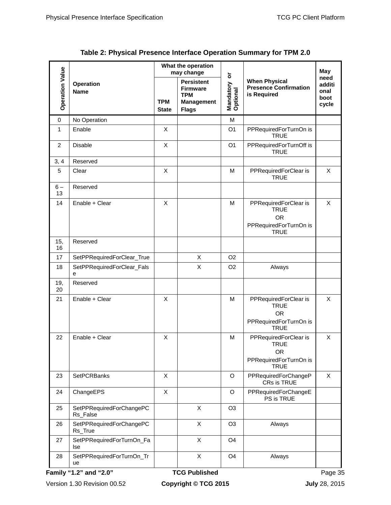٦

<span id="page-44-0"></span> $\Gamma$ 

|                        |                                      | What the operation<br>may change |                                                                                         | ŏ                     |                                                                                            | May                                     |
|------------------------|--------------------------------------|----------------------------------|-----------------------------------------------------------------------------------------|-----------------------|--------------------------------------------------------------------------------------------|-----------------------------------------|
| <b>Operation Value</b> | <b>Operation</b><br><b>Name</b>      | <b>TPM</b><br><b>State</b>       | <b>Persistent</b><br><b>Firmware</b><br><b>TPM</b><br><b>Management</b><br><b>Flags</b> | Mandatory<br>Optional | <b>When Physical</b><br><b>Presence Confirmation</b><br>is Required                        | need<br>additi<br>onal<br>boot<br>cycle |
| 0                      | No Operation                         |                                  |                                                                                         | M                     |                                                                                            |                                         |
| 1                      | Enable                               | X                                |                                                                                         | O <sub>1</sub>        | PPRequiredForTurnOn is<br><b>TRUE</b>                                                      |                                         |
| 2                      | <b>Disable</b>                       | X                                |                                                                                         | O <sub>1</sub>        | PPRequiredForTurnOff is<br><b>TRUE</b>                                                     |                                         |
| 3, 4                   | Reserved                             |                                  |                                                                                         |                       |                                                                                            |                                         |
| 5                      | Clear                                | $\mathsf X$                      |                                                                                         | M                     | PPRequiredForClear is<br><b>TRUE</b>                                                       | X                                       |
| $6-$<br>13             | Reserved                             |                                  |                                                                                         |                       |                                                                                            |                                         |
| 14                     | Enable + Clear                       | X                                |                                                                                         | M                     | PPRequiredForClear is<br><b>TRUE</b><br><b>OR</b><br>PPRequiredForTurnOn is<br><b>TRUE</b> | X                                       |
| 15,<br>16              | Reserved                             |                                  |                                                                                         |                       |                                                                                            |                                         |
| 17                     | SetPPRequiredForClear_True           |                                  | X                                                                                       | O <sub>2</sub>        |                                                                                            |                                         |
| 18                     | SetPPRequiredForClear_Fals<br>е      |                                  | X                                                                                       | O <sub>2</sub>        | Always                                                                                     |                                         |
| 19,<br>20              | Reserved                             |                                  |                                                                                         |                       |                                                                                            |                                         |
| 21                     | Enable + Clear                       | X                                |                                                                                         | M                     | PPRequiredForClear is<br><b>TRUE</b><br><b>OR</b><br>PPRequiredForTurnOn is<br><b>TRUE</b> | X                                       |
| 22                     | Enable + Clear                       | Χ                                |                                                                                         | M                     | PPRequiredForClear is<br><b>TRUE</b><br><b>OR</b><br>PPRequiredForTurnOn is<br><b>TRUE</b> | X                                       |
| 23                     | <b>SetPCRBanks</b>                   | X                                |                                                                                         | O                     | PPRequiredForChangeP<br>CRs is TRUE                                                        | X                                       |
| 24                     | ChangeEPS                            | X                                |                                                                                         | $\circ$               | PPRequiredForChangeE<br>PS is TRUE                                                         |                                         |
| 25                     | SetPPRequiredForChangePC<br>Rs_False |                                  | X                                                                                       | O <sub>3</sub>        |                                                                                            |                                         |
| 26                     | SetPPRequiredForChangePC<br>Rs_True  |                                  | X                                                                                       | O <sub>3</sub>        | Always                                                                                     |                                         |
| 27                     | SetPPRequiredForTurnOn_Fa<br>lse     |                                  | X                                                                                       | O <sub>4</sub>        |                                                                                            |                                         |
| 28                     | SetPPRequiredForTurnOn_Tr<br>ue      |                                  | X                                                                                       | O <sub>4</sub>        | Always                                                                                     |                                         |
|                        | Family "1.2" and "2.0"               |                                  | <b>TCG Published</b>                                                                    |                       |                                                                                            | Page 35                                 |

**Table 2: Physical Presence Interface Operation Summary for TPM 2.0**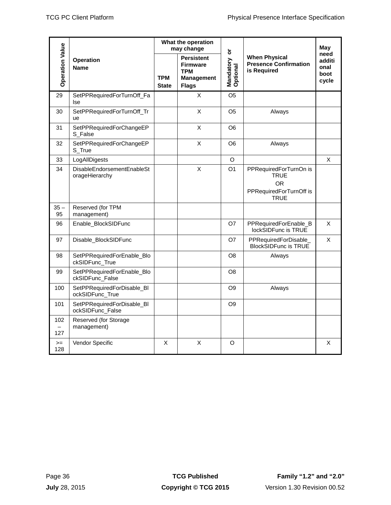|                          |                                                | What the operation<br>may change |                                                                                         | $\overline{\mathsf{o}}$ |                                                                                              | May                                     |
|--------------------------|------------------------------------------------|----------------------------------|-----------------------------------------------------------------------------------------|-------------------------|----------------------------------------------------------------------------------------------|-----------------------------------------|
| <b>Operation Value</b>   | <b>Operation</b><br><b>Name</b>                | <b>TPM</b><br><b>State</b>       | <b>Persistent</b><br><b>Firmware</b><br><b>TPM</b><br><b>Management</b><br><b>Flags</b> | Mandatory<br>Optional   | <b>When Physical</b><br><b>Presence Confirmation</b><br>is Required                          | need<br>additi<br>onal<br>boot<br>cycle |
| 29                       | SetPPRequiredForTurnOff_Fa<br>lse              |                                  | X                                                                                       | O <sub>5</sub>          |                                                                                              |                                         |
| 30                       | SetPPRequiredForTurnOff_Tr<br>ue               |                                  | X                                                                                       | O <sub>5</sub>          | Always                                                                                       |                                         |
| 31                       | SetPPRequiredForChangeEP<br>S_False            |                                  | X                                                                                       | O <sub>6</sub>          |                                                                                              |                                         |
| 32                       | SetPPRequiredForChangeEP<br>S_True             |                                  | X                                                                                       | O <sub>6</sub>          | Always                                                                                       |                                         |
| 33                       | LogAllDigests                                  |                                  |                                                                                         | O                       |                                                                                              | X                                       |
| 34                       | DisableEndorsementEnableSt<br>orageHierarchy   |                                  | X                                                                                       | O <sub>1</sub>          | PPRequiredForTurnOn is<br><b>TRUE</b><br><b>OR</b><br>PPRequiredForTurnOff is<br><b>TRUE</b> |                                         |
| $35 -$<br>95             | Reserved (for TPM<br>management)               |                                  |                                                                                         |                         |                                                                                              |                                         |
| 96                       | Enable_BlockSIDFunc                            |                                  |                                                                                         | O7                      | PPRequiredForEnable_B<br>lockSIDFunc is TRUE                                                 | $\boldsymbol{\mathsf{X}}$               |
| 97                       | Disable_BlockSIDFunc                           |                                  |                                                                                         | O7                      | PPRequiredForDisable_<br><b>BlockSIDFunc is TRUE</b>                                         | $\sf X$                                 |
| 98                       | SetPPRequiredForEnable_Blo<br>ckSIDFunc_True   |                                  |                                                                                         | O <sub>8</sub>          | Always                                                                                       |                                         |
| 99                       | SetPPRequiredForEnable_Blo<br>ckSIDFunc_False  |                                  |                                                                                         | O <sub>8</sub>          |                                                                                              |                                         |
| 100                      | SetPPRequiredForDisable_Bl<br>ockSIDFunc_True  |                                  |                                                                                         | O <sub>9</sub>          | Always                                                                                       |                                         |
| 101                      | SetPPRequiredForDisable_BI<br>ockSIDFunc_False |                                  |                                                                                         | O <sub>9</sub>          |                                                                                              |                                         |
| 102                      | Reserved (for Storage<br>management)           |                                  |                                                                                         |                         |                                                                                              |                                         |
| 127                      |                                                |                                  |                                                                                         |                         |                                                                                              |                                         |
| $>=$<br>128              | Vendor Specific                                | X                                | X                                                                                       | $\circ$                 |                                                                                              | X                                       |
|                          |                                                |                                  |                                                                                         |                         |                                                                                              |                                         |
| Page 36<br>July 28, 2015 |                                                |                                  | <b>TCG Published</b><br>Copyright © TCG 2015                                            |                         | Family "1.2" and "2.0"<br>Version 1.30 Revision 00.52                                        |                                         |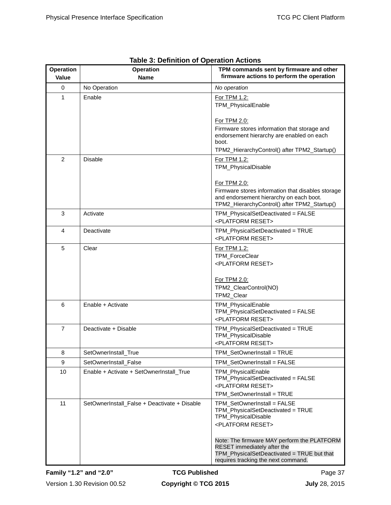<span id="page-46-0"></span>

| <b>Operation</b><br>Value | <b>Operation</b><br><b>Name</b>              | TPM commands sent by firmware and other<br>firmware actions to perform the operation                                                                               |
|---------------------------|----------------------------------------------|--------------------------------------------------------------------------------------------------------------------------------------------------------------------|
| 0                         | No Operation                                 | No operation                                                                                                                                                       |
| 1                         | Enable                                       | For TPM 1.2:<br>TPM_PhysicalEnable                                                                                                                                 |
|                           |                                              | For TPM 2.0:<br>Firmware stores information that storage and<br>endorsement hierarchy are enabled on each<br>boot.<br>TPM2_HierarchyControl() after TPM2_Startup() |
| 2                         | <b>Disable</b>                               | For TPM 1.2:<br>TPM_PhysicalDisable<br>For TPM 2.0:                                                                                                                |
|                           |                                              | Firmware stores information that disables storage<br>and endorsement hierarchy on each boot.<br>TPM2_HierarchyControl() after TPM2_Startup()                       |
| 3                         | Activate                                     | TPM_PhysicalSetDeactivated = FALSE<br><platform reset=""></platform>                                                                                               |
| 4                         | Deactivate                                   | TPM_PhysicalSetDeactivated = TRUE<br><platform reset=""></platform>                                                                                                |
| 5                         | Clear                                        | For TPM 1.2:<br>TPM_ForceClear<br><platform reset=""><br/>For TPM 2.0:<br/>TPM2_ClearControl(NO)<br/>TPM2_Clear</platform>                                         |
| 6                         | Enable + Activate                            | TPM_PhysicalEnable<br>TPM_PhysicalSetDeactivated = FALSE<br><platform reset=""></platform>                                                                         |
| 7                         | Deactivate + Disable                         | TPM_PhysicalSetDeactivated = TRUE<br>TPM_PhysicalDisable<br><platform reset=""></platform>                                                                         |
| 8                         | SetOwnerInstall_True                         | TPM_SetOwnerInstall = TRUE                                                                                                                                         |
| 9                         | SetOwnerInstall_False                        | TPM SetOwnerInstall = FALSE                                                                                                                                        |
| 10                        | Enable + Activate + SetOwnerInstall_True     | TPM_PhysicalEnable<br>TPM_PhysicalSetDeactivated = FALSE<br><platform reset=""><br/>TPM_SetOwnerInstall = TRUE</platform>                                          |
| 11                        | SetOwnerInstall_False + Deactivate + Disable | TPM_SetOwnerInstall = FALSE<br>TPM_PhysicalSetDeactivated = TRUE<br>TPM_PhysicalDisable<br><platform reset=""></platform>                                          |
|                           |                                              | Note: The firmware MAY perform the PLATFORM<br>RESET immediately after the<br>TPM_PhysicalSetDeactivated = TRUE but that<br>requires tracking the next command.    |

|  | Table 3: Definition of Operation Actions |
|--|------------------------------------------|
|--|------------------------------------------|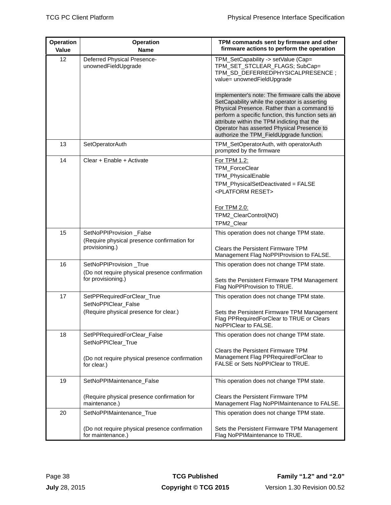| Operation<br><b>Value</b> | <b>Operation</b><br><b>Name</b>                                                          | TPM commands sent by firmware and other<br>firmware actions to perform the operation                                                                                                                                                                                                                                                            |
|---------------------------|------------------------------------------------------------------------------------------|-------------------------------------------------------------------------------------------------------------------------------------------------------------------------------------------------------------------------------------------------------------------------------------------------------------------------------------------------|
| 12                        | Deferred Physical Presence-<br>unownedFieldUpgrade                                       | TPM_SetCapability -> setValue (Cap=<br>TPM_SET_STCLEAR_FLAGS; SubCap=<br>TPM_SD_DEFERREDPHYSICALPRESENCE;<br>value= unownedFieldUpgrade                                                                                                                                                                                                         |
|                           |                                                                                          | Implementer's note: The firmware calls the above<br>SetCapability while the operator is asserting<br>Physical Presence. Rather than a command to<br>perform a specific function, this function sets an<br>attribute within the TPM indicting that the<br>Operator has asserted Physical Presence to<br>authorize the TPM_FieldUpgrade function. |
| 13                        | SetOperatorAuth                                                                          | TPM_SetOperatorAuth, with operatorAuth<br>prompted by the firmware                                                                                                                                                                                                                                                                              |
| 14                        | Clear + Enable + Activate                                                                | For TPM 1.2:<br>TPM_ForceClear<br>TPM_PhysicalEnable<br>TPM_PhysicalSetDeactivated = FALSE<br><platform reset=""><br/>For TPM 2.0:<br/>TPM2_ClearControl(NO)</platform>                                                                                                                                                                         |
|                           |                                                                                          | TPM2_Clear                                                                                                                                                                                                                                                                                                                                      |
| 15                        | SetNoPPIProvision_False<br>(Require physical presence confirmation for<br>provisioning.) | This operation does not change TPM state.<br><b>Clears the Persistent Firmware TPM</b><br>Management Flag NoPPIProvision to FALSE.                                                                                                                                                                                                              |
| 16                        | SetNoPPIProvision_True<br>(Do not require physical presence confirmation                 | This operation does not change TPM state.                                                                                                                                                                                                                                                                                                       |
|                           | for provisioning.)                                                                       | Sets the Persistent Firmware TPM Management<br>Flag NoPPIProvision to TRUE.                                                                                                                                                                                                                                                                     |
| 17                        | SetPPRequiredForClear_True<br>SetNoPPIClear_False                                        | This operation does not change TPM state.                                                                                                                                                                                                                                                                                                       |
|                           | (Require physical presence for clear.)                                                   | Sets the Persistent Firmware TPM Management<br>Flag PPRequiredForClear to TRUE or Clears<br>NoPPIClear to FALSE.                                                                                                                                                                                                                                |
| 18                        | SetPPRequiredForClear_False<br>SetNoPPIClear_True                                        | This operation does not change TPM state.                                                                                                                                                                                                                                                                                                       |
|                           | (Do not require physical presence confirmation<br>for clear.)                            | Clears the Persistent Firmware TPM<br>Management Flag PPRequiredForClear to<br>FALSE or Sets NoPPIClear to TRUE.                                                                                                                                                                                                                                |
| 19                        | SetNoPPIMaintenance_False                                                                | This operation does not change TPM state.                                                                                                                                                                                                                                                                                                       |
|                           | (Require physical presence confirmation for<br>maintenance.)                             | <b>Clears the Persistent Firmware TPM</b><br>Management Flag NoPPIMaintenance to FALSE.                                                                                                                                                                                                                                                         |
| 20                        | SetNoPPIMaintenance_True                                                                 | This operation does not change TPM state.                                                                                                                                                                                                                                                                                                       |
|                           | (Do not require physical presence confirmation<br>for maintenance.)                      | Sets the Persistent Firmware TPM Management<br>Flag NoPPIMaintenance to TRUE.                                                                                                                                                                                                                                                                   |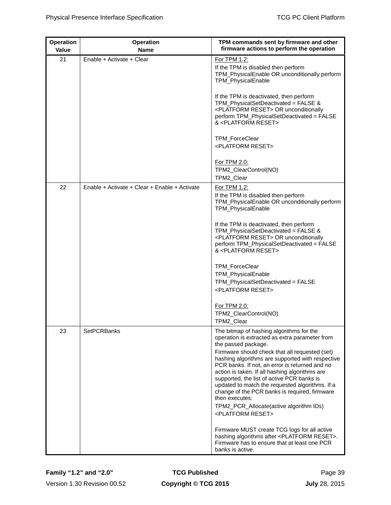| <b>Operation</b><br>Value | <b>Operation</b><br><b>Name</b>               | TPM commands sent by firmware and other<br>firmware actions to perform the operation                                                                                                                                                                                                                                                                                                                                                                                                                                                                                         |
|---------------------------|-----------------------------------------------|------------------------------------------------------------------------------------------------------------------------------------------------------------------------------------------------------------------------------------------------------------------------------------------------------------------------------------------------------------------------------------------------------------------------------------------------------------------------------------------------------------------------------------------------------------------------------|
| 21                        | Enable + Activate + Clear                     | For TPM 1.2:<br>If the TPM is disabled then perform<br>TPM_PhysicalEnable OR unconditionally perform<br><b>TPM_PhysicalEnable</b>                                                                                                                                                                                                                                                                                                                                                                                                                                            |
|                           |                                               | If the TPM is deactivated, then perform<br>TPM_PhysicalSetDeactivated = FALSE &<br><platform reset=""> OR unconditionally<br/>perform TPM_PhysicalSetDeactivated = FALSE<br/>&amp; <platform reset=""></platform></platform>                                                                                                                                                                                                                                                                                                                                                 |
|                           |                                               | TPM_ForceClear<br><platform reset=""></platform>                                                                                                                                                                                                                                                                                                                                                                                                                                                                                                                             |
|                           |                                               | For TPM 2.0:<br>TPM2_ClearControl(NO)<br>TPM2_Clear                                                                                                                                                                                                                                                                                                                                                                                                                                                                                                                          |
| 22                        | Enable + Activate + Clear + Enable + Activate | For TPM 1.2:<br>If the TPM is disabled then perform<br>TPM_PhysicalEnable OR unconditionally perform<br>TPM_PhysicalEnable                                                                                                                                                                                                                                                                                                                                                                                                                                                   |
|                           |                                               | If the TPM is deactivated, then perform<br>TPM_PhysicalSetDeactivated = FALSE &<br><platform reset=""> OR unconditionally<br/>perform TPM_PhysicalSetDeactivated = FALSE<br/>&amp; <platform reset=""></platform></platform>                                                                                                                                                                                                                                                                                                                                                 |
|                           |                                               | TPM_ForceClear<br>TPM_PhysicalEnable<br>TPM_PhysicalSetDeactivated = FALSE<br><platform reset=""></platform>                                                                                                                                                                                                                                                                                                                                                                                                                                                                 |
|                           |                                               | For TPM 2.0:<br>TPM2_ClearControl(NO)<br>TPM2 Clear                                                                                                                                                                                                                                                                                                                                                                                                                                                                                                                          |
| 23                        | <b>SetPCRBanks</b>                            | The bitmap of hashing algorithms for the<br>operation is extracted as extra parameter from<br>the passed package.<br>Firmware should check that all requested (set)<br>hashing algorithms are supported with respective<br>PCR banks. If not, an error is returned and no<br>action is taken. If all hashing algorithms are<br>supported, the list of active PCR banks is<br>updated to match the requested algorithms. If a<br>change of the PCR banks is required, firmware<br>then executes:<br>TPM2_PCR_Allocate(active algorithm IDs)<br><platform reset=""></platform> |
|                           |                                               | Firmware MUST create TCG logs for all active<br>hashing algorithms after <platform reset="">.<br/>Firmware has to ensure that at least one PCR<br/>banks is active.</platform>                                                                                                                                                                                                                                                                                                                                                                                               |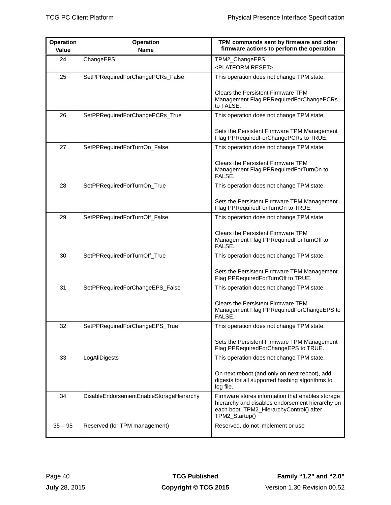| Operation<br><b>Value</b> | <b>Operation</b><br><b>Name</b>          | TPM commands sent by firmware and other<br>firmware actions to perform the operation                                                                              |
|---------------------------|------------------------------------------|-------------------------------------------------------------------------------------------------------------------------------------------------------------------|
| 24                        | ChangeEPS                                | TPM2_ChangeEPS<br><platform reset=""></platform>                                                                                                                  |
| 25                        | SetPPRequiredForChangePCRs_False         | This operation does not change TPM state.                                                                                                                         |
|                           |                                          | Clears the Persistent Firmware TPM<br>Management Flag PPRequiredForChangePCRs<br>to FALSE.                                                                        |
| 26                        | SetPPRequiredForChangePCRs_True          | This operation does not change TPM state.                                                                                                                         |
|                           |                                          | Sets the Persistent Firmware TPM Management<br>Flag PPRequiredForChangePCRs to TRUE.                                                                              |
| 27                        | SetPPRequiredForTurnOn_False             | This operation does not change TPM state.                                                                                                                         |
|                           |                                          | <b>Clears the Persistent Firmware TPM</b><br>Management Flag PPRequiredForTurnOn to<br>FALSE.                                                                     |
| 28                        | SetPPRequiredForTurnOn_True              | This operation does not change TPM state.                                                                                                                         |
|                           |                                          | Sets the Persistent Firmware TPM Management<br>Flag PPRequiredForTurnOn to TRUE.                                                                                  |
| 29                        | SetPPRequiredForTurnOff_False            | This operation does not change TPM state.                                                                                                                         |
|                           |                                          | <b>Clears the Persistent Firmware TPM</b><br>Management Flag PPRequiredForTurnOff to<br>FALSE.                                                                    |
| 30                        | SetPPRequiredForTurnOff_True             | This operation does not change TPM state.                                                                                                                         |
|                           |                                          | Sets the Persistent Firmware TPM Management<br>Flag PPRequiredForTurnOff to TRUE.                                                                                 |
| 31                        | SetPPRequiredForChangeEPS_False          | This operation does not change TPM state.                                                                                                                         |
|                           |                                          | <b>Clears the Persistent Firmware TPM</b><br>Management Flag PPRequiredForChangeEPS to<br>FALSE.                                                                  |
| 32                        | SetPPRequiredForChangeEPS_True           | This operation does not change TPM state.                                                                                                                         |
|                           |                                          | Sets the Persistent Firmware TPM Management<br>Flag PPRequiredForChangeEPS to TRUE.                                                                               |
| 33                        | LogAllDigests                            | This operation does not change TPM state.                                                                                                                         |
|                           |                                          | On next reboot (and only on next reboot), add<br>digests for all supported hashing algorithms to<br>log file.                                                     |
| 34                        | DisableEndorsementEnableStorageHierarchy | Firmware stores information that enables storage<br>hierarchy and disables endorsement hierarchy on<br>each boot. TPM2_HierarchyControl() after<br>TPM2_Startup() |
| $35 - 95$                 | Reserved (for TPM management)            | Reserved, do not implement or use                                                                                                                                 |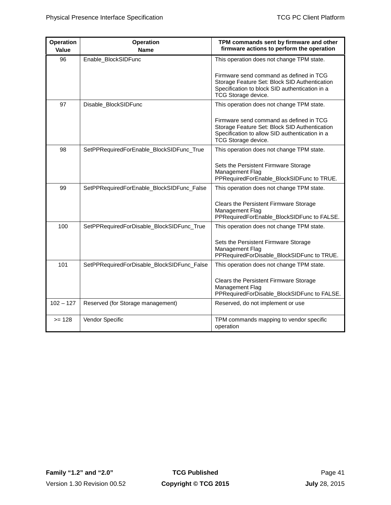| <b>Operation</b> | <b>Operation</b>                           | TPM commands sent by firmware and other                                                                                                                           |
|------------------|--------------------------------------------|-------------------------------------------------------------------------------------------------------------------------------------------------------------------|
| Value            | <b>Name</b>                                | firmware actions to perform the operation                                                                                                                         |
| 96               | Enable_BlockSIDFunc                        | This operation does not change TPM state.                                                                                                                         |
|                  |                                            | Firmware send command as defined in TCG<br>Storage Feature Set: Block SID Authentication<br>Specification to block SID authentication in a<br>TCG Storage device. |
| 97               | Disable_BlockSIDFunc                       | This operation does not change TPM state.                                                                                                                         |
|                  |                                            | Firmware send command as defined in TCG<br>Storage Feature Set: Block SID Authentication<br>Specification to allow SID authentication in a<br>TCG Storage device. |
| 98               | SetPPRequiredForEnable_BlockSIDFunc_True   | This operation does not change TPM state.                                                                                                                         |
|                  |                                            | Sets the Persistent Firmware Storage<br>Management Flag<br>PPRequiredForEnable_BlockSIDFunc to TRUE.                                                              |
| 99               | SetPPRequiredForEnable_BlockSIDFunc_False  | This operation does not change TPM state.                                                                                                                         |
|                  |                                            | Clears the Persistent Firmware Storage<br>Management Flag<br>PPRequiredForEnable_BlockSIDFunc to FALSE.                                                           |
| 100              | SetPPRequiredForDisable_BlockSIDFunc_True  | This operation does not change TPM state.                                                                                                                         |
|                  |                                            | Sets the Persistent Firmware Storage<br>Management Flag<br>PPRequiredForDisable_BlockSIDFunc to TRUE.                                                             |
| 101              | SetPPRequiredForDisable_BlockSIDFunc_False | This operation does not change TPM state.                                                                                                                         |
|                  |                                            | Clears the Persistent Firmware Storage<br>Management Flag<br>PPRequiredForDisable_BlockSIDFunc to FALSE.                                                          |
| $102 - 127$      | Reserved (for Storage management)          | Reserved, do not implement or use                                                                                                                                 |
| $>= 128$         | Vendor Specific                            | TPM commands mapping to vendor specific<br>operation                                                                                                              |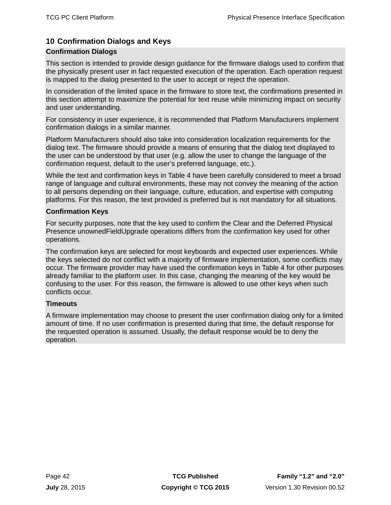# <span id="page-51-0"></span>**10 Confirmation Dialogs and Keys**

# **Confirmation Dialogs**

This section is intended to provide design guidance for the firmware dialogs used to confirm that the physically present user in fact requested execution of the operation. Each operation request is mapped to the dialog presented to the user to accept or reject the operation.

In consideration of the limited space in the firmware to store text, the confirmations presented in this section attempt to maximize the potential for text reuse while minimizing impact on security and user understanding.

For consistency in user experience, it is recommended that Platform Manufacturers implement confirmation dialogs in a similar manner.

Platform Manufacturers should also take into consideration localization requirements for the dialog text. The firmware should provide a means of ensuring that the dialog text displayed to the user can be understood by that user (e.g. allow the user to change the language of the confirmation request, default to the user's preferred language, etc.).

While the text and confirmation keys in [Table 4](#page-54-0) have been carefully considered to meet a broad range of language and cultural environments, these may not convey the meaning of the action to all persons depending on their language, culture, education, and expertise with computing platforms. For this reason, the text provided is preferred but is not mandatory for all situations.

### **Confirmation Keys**

For security purposes, note that the key used to confirm the Clear and the Deferred Physical Presence unownedFieldUpgrade operations differs from the confirmation key used for other operations.

The confirmation keys are selected for most keyboards and expected user experiences. While the keys selected do not conflict with a majority of firmware implementation, some conflicts may occur. The firmware provider may have used the confirmation keys in [Table 4](#page-54-0) for other purposes already familiar to the platform user. In this case, changing the meaning of the key would be confusing to the user. For this reason, the firmware is allowed to use other keys when such conflicts occur.

# **Timeouts**

A firmware implementation may choose to present the user confirmation dialog only for a limited amount of time. If no user confirmation is presented during that time, the default response for the requested operation is assumed. Usually, the default response would be to deny the operation.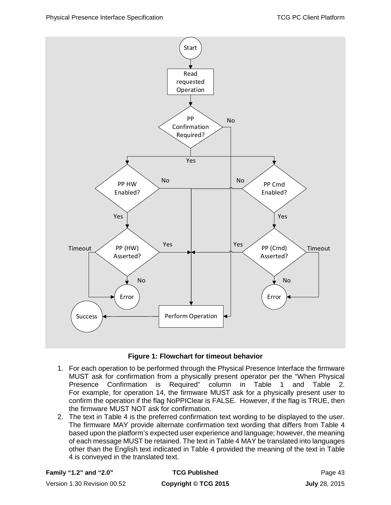



- <span id="page-52-0"></span>1. For each operation to be performed through the Physical Presence Interface the firmware MUST ask for confirmation from a physically present operator per the "When Physical Presence Confirmation is Required" column in [Table 1](#page-42-0) and [Table 2.](#page-44-0) For example, for operation 14, the firmware MUST ask for a physically present user to confirm the operation if the flag NoPPIClear is FALSE. However, if the flag is TRUE, then the firmware MUST NOT ask for confirmation.
- 2. The text in [Table 4](#page-54-0) is the preferred confirmation text wording to be displayed to the user. The firmware MAY provide alternate confirmation text wording that differs from [Table 4](#page-54-0) based upon the platform's expected user experience and language; however, the meaning of each message MUST be retained. The text in [Table 4](#page-54-0) MAY be translated into languages other than the English text indicated in [Table 4](#page-54-0) provided the meaning of the text in [Table](#page-54-0)  [4](#page-54-0) is conveyed in the translated text.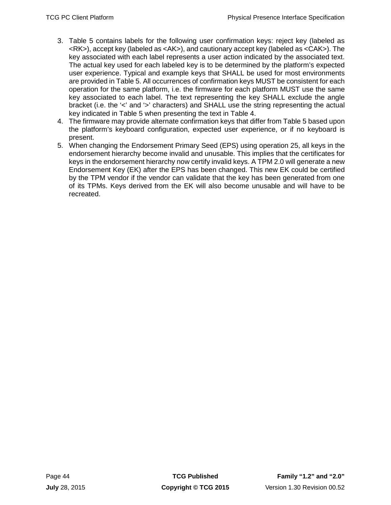- 3. [Table 5](#page-61-0) contains labels for the following user confirmation keys: reject key (labeled as <RK>), accept key (labeled as <AK>), and cautionary accept key (labeled as <CAK>). The key associated with each label represents a user action indicated by the associated text. The actual key used for each labeled key is to be determined by the platform's expected user experience. Typical and example keys that SHALL be used for most environments are provided in [Table 5.](#page-61-0) All occurrences of confirmation keys MUST be consistent for each operation for the same platform, i.e. the firmware for each platform MUST use the same key associated to each label. The text representing the key SHALL exclude the angle bracket (i.e. the '<' and '>' characters) and SHALL use the string representing the actual key indicated in [Table 5](#page-61-0) when presenting the text in [Table 4.](#page-54-0)
- 4. The firmware may provide alternate confirmation keys that differ from [Table 5](#page-61-0) based upon the platform's keyboard configuration, expected user experience, or if no keyboard is present.
- 5. When changing the Endorsement Primary Seed (EPS) using operation 25, all keys in the endorsement hierarchy become invalid and unusable. This implies that the certificates for keys in the endorsement hierarchy now certify invalid keys. A TPM 2.0 will generate a new Endorsement Key (EK) after the EPS has been changed. This new EK could be certified by the TPM vendor if the vendor can validate that the key has been generated from one of its TPMs. Keys derived from the EK will also become unusable and will have to be recreated.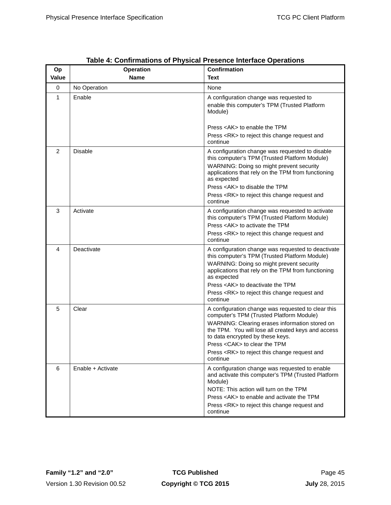<span id="page-54-0"></span>

| Op<br>Value | <b>Operation</b><br><b>Name</b> | <b>Confirmation</b><br>Text                                                                                                                                                                                                                                                                                                                    |
|-------------|---------------------------------|------------------------------------------------------------------------------------------------------------------------------------------------------------------------------------------------------------------------------------------------------------------------------------------------------------------------------------------------|
| 0           |                                 | None                                                                                                                                                                                                                                                                                                                                           |
| 1           | No Operation<br>Enable          | A configuration change was requested to<br>enable this computer's TPM (Trusted Platform<br>Module)                                                                                                                                                                                                                                             |
|             |                                 | Press <ak> to enable the TPM<br/>Press <rk> to reject this change request and<br/>continue</rk></ak>                                                                                                                                                                                                                                           |
| 2           | <b>Disable</b>                  | A configuration change was requested to disable<br>this computer's TPM (Trusted Platform Module)<br>WARNING: Doing so might prevent security<br>applications that rely on the TPM from functioning<br>as expected<br>Press <ak> to disable the TPM<br/>Press <rk> to reject this change request and</rk></ak>                                  |
| 3           | Activate                        | continue<br>A configuration change was requested to activate<br>this computer's TPM (Trusted Platform Module)<br>Press <ak> to activate the TPM<br/>Press <rk> to reject this change request and<br/>continue</rk></ak>                                                                                                                        |
| 4           | Deactivate                      | A configuration change was requested to deactivate<br>this computer's TPM (Trusted Platform Module)<br>WARNING: Doing so might prevent security<br>applications that rely on the TPM from functioning<br>as expected<br>Press <ak> to deactivate the TPM<br/>Press <rk> to reject this change request and<br/>continue</rk></ak>               |
| 5           | Clear                           | A configuration change was requested to clear this<br>computer's TPM (Trusted Platform Module)<br>WARNING: Clearing erases information stored on<br>the TPM. You will lose all created keys and access<br>to data encrypted by these keys.<br>Press < CAK > to clear the TPM<br>Press <rk> to reject this change request and<br/>continue</rk> |
| 6           | Enable + Activate               | A configuration change was requested to enable<br>and activate this computer's TPM (Trusted Platform<br>Module)<br>NOTE: This action will turn on the TPM<br>Press <ak> to enable and activate the TPM<br/>Press <rk> to reject this change request and<br/>continue</rk></ak>                                                                 |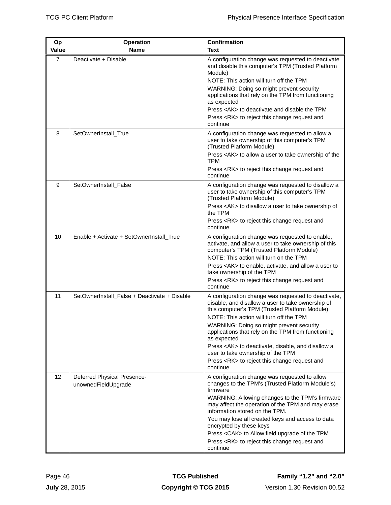| Op             | <b>Operation</b>                                   | Confirmation                                                                                                                                                                                                                                                    |
|----------------|----------------------------------------------------|-----------------------------------------------------------------------------------------------------------------------------------------------------------------------------------------------------------------------------------------------------------------|
| Value          | <b>Name</b>                                        | Text                                                                                                                                                                                                                                                            |
| $\overline{7}$ | Deactivate + Disable                               | A configuration change was requested to deactivate<br>and disable this computer's TPM (Trusted Platform<br>Module)<br>NOTE: This action will turn off the TPM<br>WARNING: Doing so might prevent security<br>applications that rely on the TPM from functioning |
|                |                                                    | as expected                                                                                                                                                                                                                                                     |
|                |                                                    | Press <ak> to deactivate and disable the TPM</ak>                                                                                                                                                                                                               |
|                |                                                    | Press <rk> to reject this change request and<br/>continue</rk>                                                                                                                                                                                                  |
| 8              | SetOwnerInstall_True                               | A configuration change was requested to allow a<br>user to take ownership of this computer's TPM<br>(Trusted Platform Module)                                                                                                                                   |
|                |                                                    | Press <ak> to allow a user to take ownership of the<br/>TPM</ak>                                                                                                                                                                                                |
|                |                                                    | Press <rk> to reject this change request and<br/>continue</rk>                                                                                                                                                                                                  |
| 9              | SetOwnerInstall_False                              | A configuration change was requested to disallow a<br>user to take ownership of this computer's TPM<br>(Trusted Platform Module)                                                                                                                                |
|                |                                                    | Press <ak> to disallow a user to take ownership of<br/>the TPM</ak>                                                                                                                                                                                             |
|                |                                                    | Press <rk> to reject this change request and<br/>continue</rk>                                                                                                                                                                                                  |
| 10             | Enable + Activate + SetOwnerInstall_True           | A configuration change was requested to enable,<br>activate, and allow a user to take ownership of this<br>computer's TPM (Trusted Platform Module)<br>NOTE: This action will turn on the TPM                                                                   |
|                |                                                    | Press <ak> to enable, activate, and allow a user to<br/>take ownership of the TPM</ak>                                                                                                                                                                          |
|                |                                                    | Press <rk> to reject this change request and<br/>continue</rk>                                                                                                                                                                                                  |
| 11             | SetOwnerInstall_False + Deactivate + Disable       | A configuration change was requested to deactivate,<br>disable, and disallow a user to take ownership of<br>this computer's TPM (Trusted Platform Module)<br>NOTE: This action will turn off the TPM                                                            |
|                |                                                    | WARNING: Doing so might prevent security<br>applications that rely on the TPM from functioning<br>as expected                                                                                                                                                   |
|                |                                                    | Press <ak> to deactivate, disable, and disallow a<br/>user to take ownership of the TPM<br/>Press <rk> to reject this change request and</rk></ak>                                                                                                              |
|                |                                                    | continue                                                                                                                                                                                                                                                        |
| 12             | Deferred Physical Presence-<br>unownedFieldUpgrade | A configuration change was requested to allow<br>changes to the TPM's (Trusted Platform Module's)<br>firmware                                                                                                                                                   |
|                |                                                    | WARNING: Allowing changes to the TPM's firmware<br>may affect the operation of the TPM and may erase<br>information stored on the TPM.                                                                                                                          |
|                |                                                    | You may lose all created keys and access to data<br>encrypted by these keys                                                                                                                                                                                     |
|                |                                                    | Press <cak> to Allow field upgrade of the TPM</cak>                                                                                                                                                                                                             |
|                |                                                    | Press <rk> to reject this change request and<br/>continue</rk>                                                                                                                                                                                                  |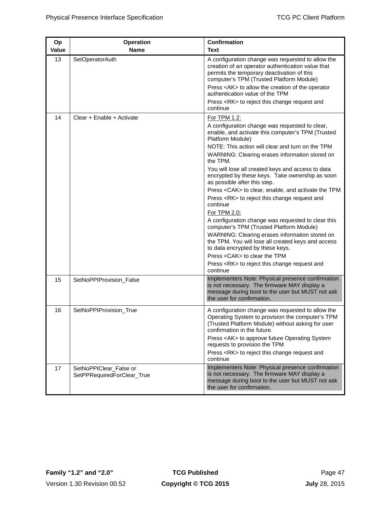| Op<br><b>Value</b> | <b>Operation</b><br><b>Name</b>                      | <b>Confirmation</b><br>Text                                                                                                                                                                      |
|--------------------|------------------------------------------------------|--------------------------------------------------------------------------------------------------------------------------------------------------------------------------------------------------|
| 13                 | <b>SetOperatorAuth</b>                               | A configuration change was requested to allow the<br>creation of an operator authentication value that<br>permits the temporary deactivation of this<br>computer's TPM (Trusted Platform Module) |
|                    |                                                      | Press <ak> to allow the creation of the operator<br/>authentication value of the TPM</ak>                                                                                                        |
|                    |                                                      | Press <rk> to reject this change request and<br/>continue</rk>                                                                                                                                   |
| 14                 | Clear + Enable + Activate                            | For TPM 1.2:<br>A configuration change was requested to clear,<br>enable, and activate this computer's TPM (Trusted<br>Platform Module)<br>NOTE: This action will clear and turn on the TPM      |
|                    |                                                      | WARNING: Clearing erases information stored on<br>the TPM.                                                                                                                                       |
|                    |                                                      | You will lose all created keys and access to data<br>encrypted by these keys. Take ownership as soon<br>as possible after this step.                                                             |
|                    |                                                      | Press <cak> to clear, enable, and activate the TPM<br/>Press <rk> to reject this change request and</rk></cak>                                                                                   |
|                    |                                                      | continue<br>For TPM 2.0:                                                                                                                                                                         |
|                    |                                                      | A configuration change was requested to clear this<br>computer's TPM (Trusted Platform Module)                                                                                                   |
|                    |                                                      | WARNING: Clearing erases information stored on<br>the TPM. You will lose all created keys and access<br>to data encrypted by these keys.                                                         |
|                    |                                                      | Press < CAK > to clear the TPM                                                                                                                                                                   |
|                    |                                                      | Press <rk> to reject this change request and<br/>continue</rk>                                                                                                                                   |
| 15                 | SetNoPPIProvision_False                              | Implementers Note: Physical presence confirmation<br>is not necessary. The firmware MAY display a<br>message during boot to the user but MUST not ask<br>the user for confirmation.              |
| 16                 | SetNoPPIProvision_True                               | A configuration change was requested to allow the<br>Operating System to provision the computer's TPM<br>(Trusted Platform Module) without asking for user<br>confirmation in the future.        |
|                    |                                                      | Press <ak> to approve future Operating System<br/>requests to provision the TPM<br/>Press <rk> to reject this change request and</rk></ak>                                                       |
|                    |                                                      | continue                                                                                                                                                                                         |
| 17                 | SetNoPPIClear_False or<br>SetPPRequiredForClear_True | Implementers Note: Physical presence confirmation<br>is not necessary. The firmware MAY display a<br>message during boot to the user but MUST not ask<br>the user for confirmation.              |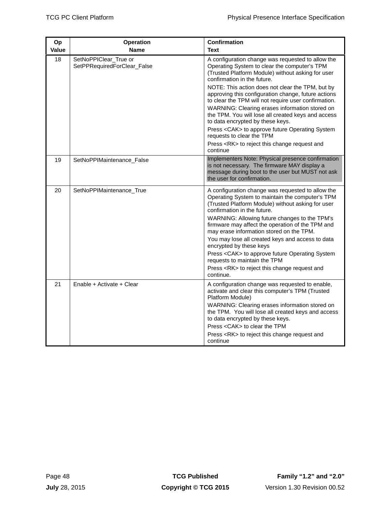| Op           | <b>Operation</b>                                     | <b>Confirmation</b><br>Text                                                                                                                                                                                                                                                                                                                                                                                                                                                                                                                                                           |  |
|--------------|------------------------------------------------------|---------------------------------------------------------------------------------------------------------------------------------------------------------------------------------------------------------------------------------------------------------------------------------------------------------------------------------------------------------------------------------------------------------------------------------------------------------------------------------------------------------------------------------------------------------------------------------------|--|
| <b>Value</b> | <b>Name</b>                                          |                                                                                                                                                                                                                                                                                                                                                                                                                                                                                                                                                                                       |  |
| 18           | SetNoPPIClear True or<br>SetPPRequiredForClear_False | A configuration change was requested to allow the<br>Operating System to clear the computer's TPM<br>(Trusted Platform Module) without asking for user<br>confirmation in the future.                                                                                                                                                                                                                                                                                                                                                                                                 |  |
|              |                                                      | NOTE: This action does not clear the TPM, but by<br>approving this configuration change, future actions<br>to clear the TPM will not require user confirmation.                                                                                                                                                                                                                                                                                                                                                                                                                       |  |
|              |                                                      | WARNING: Clearing erases information stored on<br>the TPM. You will lose all created keys and access<br>to data encrypted by these keys.                                                                                                                                                                                                                                                                                                                                                                                                                                              |  |
|              |                                                      | Press <cak> to approve future Operating System<br/>requests to clear the TPM</cak>                                                                                                                                                                                                                                                                                                                                                                                                                                                                                                    |  |
|              |                                                      | Press <rk> to reject this change request and<br/>continue</rk>                                                                                                                                                                                                                                                                                                                                                                                                                                                                                                                        |  |
| 19           | SetNoPPIMaintenance_False                            | Implementers Note: Physical presence confirmation<br>is not necessary. The firmware MAY display a<br>message during boot to the user but MUST not ask<br>the user for confirmation.                                                                                                                                                                                                                                                                                                                                                                                                   |  |
| 20           | SetNoPPIMaintenance_True                             | A configuration change was requested to allow the<br>Operating System to maintain the computer's TPM<br>(Trusted Platform Module) without asking for user<br>confirmation in the future.<br>WARNING: Allowing future changes to the TPM's<br>firmware may affect the operation of the TPM and<br>may erase information stored on the TPM.<br>You may lose all created keys and access to data<br>encrypted by these keys<br>Press <cak> to approve future Operating System<br/>requests to maintain the TPM<br/>Press <rk> to reject this change request and<br/>continue.</rk></cak> |  |
| 21           | Enable + Activate + Clear                            | A configuration change was requested to enable,<br>activate and clear this computer's TPM (Trusted<br>Platform Module)<br>WARNING: Clearing erases information stored on<br>the TPM. You will lose all created keys and access<br>to data encrypted by these keys.<br>Press <cak> to clear the TPM<br/>Press <rk> to reject this change request and<br/>continue</rk></cak>                                                                                                                                                                                                           |  |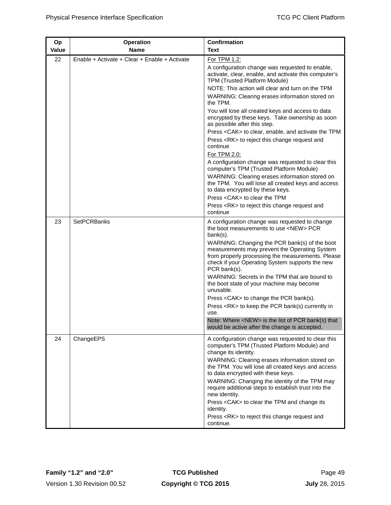| Op    | <b>Operation</b>                              | Confirmation                                                                                                                                                                                                           |
|-------|-----------------------------------------------|------------------------------------------------------------------------------------------------------------------------------------------------------------------------------------------------------------------------|
| Value | <b>Name</b>                                   | Text                                                                                                                                                                                                                   |
| 22    | Enable + Activate + Clear + Enable + Activate | For TPM 1.2:<br>A configuration change was requested to enable,<br>activate, clear, enable, and activate this computer's<br>TPM (Trusted Platform Module)<br>NOTE: This action will clear and turn on the TPM          |
|       |                                               | WARNING: Clearing erases information stored on<br>the TPM.                                                                                                                                                             |
|       |                                               | You will lose all created keys and access to data<br>encrypted by these keys. Take ownership as soon<br>as possible after this step.                                                                                   |
|       |                                               | Press <cak> to clear, enable, and activate the TPM<br/>Press <rk> to reject this change request and<br/>continue<br/>For TPM 2.0:</rk></cak>                                                                           |
|       |                                               | A configuration change was requested to clear this<br>computer's TPM (Trusted Platform Module)                                                                                                                         |
|       |                                               | WARNING: Clearing erases information stored on<br>the TPM. You will lose all created keys and access<br>to data encrypted by these keys.                                                                               |
|       |                                               | Press < CAK > to clear the TPM                                                                                                                                                                                         |
|       |                                               | Press <rk> to reject this change request and<br/>continue</rk>                                                                                                                                                         |
| 23    | <b>SetPCRBanks</b>                            | A configuration change was requested to change<br>the boot measurements to use <new> PCR<br/>bank(s).</new>                                                                                                            |
|       |                                               | WARNING: Changing the PCR bank(s) of the boot<br>measurements may prevent the Operating System<br>from properly processing the measurements. Please<br>check if your Operating System supports the new<br>PCR bank(s). |
|       |                                               | WARNING: Secrets in the TPM that are bound to<br>the boot state of your machine may become<br>unusable.                                                                                                                |
|       |                                               | Press <cak> to change the PCR bank(s).<br/>Press <rk> to keep the PCR bank(s) currently in</rk></cak>                                                                                                                  |
|       |                                               | use.<br>Note: Where <new> is the list of PCR bank(s) that<br/>would be active after the change is accepted.</new>                                                                                                      |
| 24    | ChangeEPS                                     | A configuration change was requested to clear this<br>computer's TPM (Trusted Platform Module) and<br>change its identity.                                                                                             |
|       |                                               | WARNING: Clearing erases information stored on<br>the TPM. You will lose all created keys and access<br>to data encrypted with these keys.                                                                             |
|       |                                               | WARNING: Changing the identity of the TPM may<br>require additional steps to establish trust into the<br>new identity.                                                                                                 |
|       |                                               | Press <cak> to clear the TPM and change its<br/>identity.</cak>                                                                                                                                                        |
|       |                                               | Press <rk> to reject this change request and<br/>continue.</rk>                                                                                                                                                        |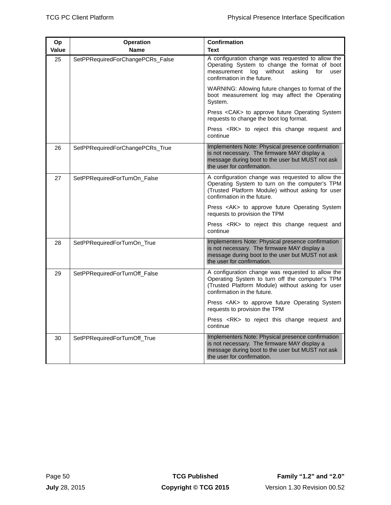| Op<br>Value | <b>Operation</b><br><b>Name</b>  | <b>Confirmation</b><br><b>Text</b>                                                                                                                                                          |  |  |
|-------------|----------------------------------|---------------------------------------------------------------------------------------------------------------------------------------------------------------------------------------------|--|--|
| 25          | SetPPRequiredForChangePCRs_False | A configuration change was requested to allow the<br>Operating System to change the format of boot<br>measurement<br>without<br>asking<br>log<br>for<br>user<br>confirmation in the future. |  |  |
|             |                                  | WARNING: Allowing future changes to format of the<br>boot measurement log may affect the Operating<br>System.                                                                               |  |  |
|             |                                  | Press < CAK > to approve future Operating System<br>requests to change the boot log format.                                                                                                 |  |  |
|             |                                  | Press <rk> to reject this change request and<br/>continue</rk>                                                                                                                              |  |  |
| 26          | SetPPRequiredForChangePCRs_True  | Implementers Note: Physical presence confirmation<br>is not necessary. The firmware MAY display a<br>message during boot to the user but MUST not ask<br>the user for confirmation.         |  |  |
| 27          | SetPPRequiredForTurnOn_False     | A configuration change was requested to allow the<br>Operating System to turn on the computer's TPM<br>(Trusted Platform Module) without asking for user<br>confirmation in the future.     |  |  |
|             |                                  | Press <ak> to approve future Operating System<br/>requests to provision the TPM</ak>                                                                                                        |  |  |
|             |                                  | Press <rk> to reject this change request and<br/>continue</rk>                                                                                                                              |  |  |
| 28          | SetPPRequiredForTurnOn_True      | Implementers Note: Physical presence confirmation<br>is not necessary. The firmware MAY display a<br>message during boot to the user but MUST not ask<br>the user for confirmation.         |  |  |
| 29          | SetPPRequiredForTurnOff_False    | A configuration change was requested to allow the<br>Operating System to turn off the computer's TPM<br>(Trusted Platform Module) without asking for user<br>confirmation in the future.    |  |  |
|             |                                  | Press <ak> to approve future Operating System<br/>requests to provision the TPM</ak>                                                                                                        |  |  |
|             |                                  | Press <rk> to reject this change request and<br/>continue</rk>                                                                                                                              |  |  |
| 30          | SetPPRequiredForTurnOff_True     | Implementers Note: Physical presence confirmation<br>is not necessary. The firmware MAY display a<br>message during boot to the user but MUST not ask<br>the user for confirmation.         |  |  |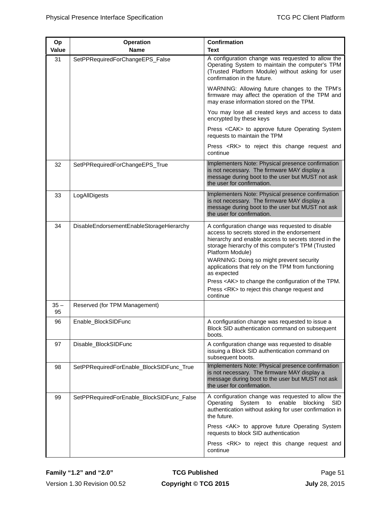| Op           | <b>Operation</b>                          | <b>Confirmation</b>                                                                                                                                                                                                                                                                                                                                                                                                                                                            |
|--------------|-------------------------------------------|--------------------------------------------------------------------------------------------------------------------------------------------------------------------------------------------------------------------------------------------------------------------------------------------------------------------------------------------------------------------------------------------------------------------------------------------------------------------------------|
| Value        | <b>Name</b>                               | Text                                                                                                                                                                                                                                                                                                                                                                                                                                                                           |
| 31           | SetPPRequiredForChangeEPS_False           | A configuration change was requested to allow the<br>Operating System to maintain the computer's TPM<br>(Trusted Platform Module) without asking for user<br>confirmation in the future.                                                                                                                                                                                                                                                                                       |
|              |                                           | WARNING: Allowing future changes to the TPM's<br>firmware may affect the operation of the TPM and<br>may erase information stored on the TPM.                                                                                                                                                                                                                                                                                                                                  |
|              |                                           | You may lose all created keys and access to data<br>encrypted by these keys                                                                                                                                                                                                                                                                                                                                                                                                    |
|              |                                           | Press <cak> to approve future Operating System<br/>requests to maintain the TPM</cak>                                                                                                                                                                                                                                                                                                                                                                                          |
|              |                                           | Press <rk> to reject this change request and<br/>continue</rk>                                                                                                                                                                                                                                                                                                                                                                                                                 |
| 32           | SetPPRequiredForChangeEPS_True            | Implementers Note: Physical presence confirmation<br>is not necessary. The firmware MAY display a<br>message during boot to the user but MUST not ask<br>the user for confirmation.                                                                                                                                                                                                                                                                                            |
| 33           | LogAllDigests                             | Implementers Note: Physical presence confirmation<br>is not necessary. The firmware MAY display a<br>message during boot to the user but MUST not ask<br>the user for confirmation.                                                                                                                                                                                                                                                                                            |
| 34           | DisableEndorsementEnableStorageHierarchy  | A configuration change was requested to disable<br>access to secrets stored in the endorsement<br>hierarchy and enable access to secrets stored in the<br>storage hierarchy of this computer's TPM (Trusted<br>Platform Module)<br>WARNING: Doing so might prevent security<br>applications that rely on the TPM from functioning<br>as expected<br>Press <ak> to change the configuration of the TPM.<br/>Press <rk> to reject this change request and<br/>continue</rk></ak> |
| $35 -$<br>95 | Reserved (for TPM Management)             |                                                                                                                                                                                                                                                                                                                                                                                                                                                                                |
| 96           | Enable_BlockSIDFunc                       | A configuration change was requested to issue a<br>Block SID authentication command on subsequent<br>boots.                                                                                                                                                                                                                                                                                                                                                                    |
| 97           | Disable_BlockSIDFunc                      | A configuration change was requested to disable<br>issuing a Block SID authentication command on<br>subsequent boots.                                                                                                                                                                                                                                                                                                                                                          |
| 98           | SetPPRequiredForEnable_BlockSIDFunc_True  | Implementers Note: Physical presence confirmation<br>is not necessary. The firmware MAY display a<br>message during boot to the user but MUST not ask<br>the user for confirmation.                                                                                                                                                                                                                                                                                            |
| 99           | SetPPRequiredForEnable_BlockSIDFunc_False | A configuration change was requested to allow the<br>Operating System to enable blocking<br><b>SID</b><br>authentication without asking for user confirmation in<br>the future.                                                                                                                                                                                                                                                                                                |
|              |                                           | Press <ak> to approve future Operating System<br/>requests to block SID authentication</ak>                                                                                                                                                                                                                                                                                                                                                                                    |
|              |                                           | Press <rk> to reject this change request and<br/>continue</rk>                                                                                                                                                                                                                                                                                                                                                                                                                 |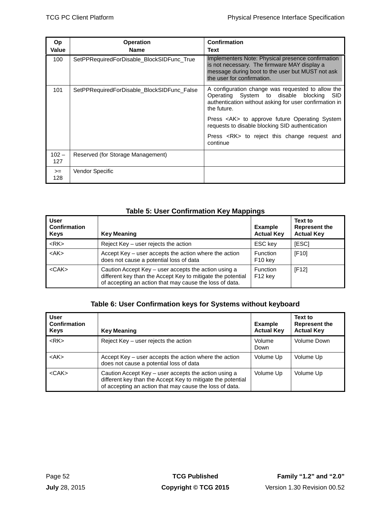| Op<br>Value    | <b>Operation</b><br><b>Name</b>            | <b>Confirmation</b><br>Text                                                                                                                                                         |  |
|----------------|--------------------------------------------|-------------------------------------------------------------------------------------------------------------------------------------------------------------------------------------|--|
| 100            | SetPPRequiredForDisable_BlockSIDFunc_True  | Implementers Note: Physical presence confirmation<br>is not necessary. The firmware MAY display a<br>message during boot to the user but MUST not ask<br>the user for confirmation. |  |
| 101            | SetPPRequiredForDisable_BlockSIDFunc_False | A configuration change was requested to allow the<br>Operating System to disable blocking<br>SID.<br>authentication without asking for user confirmation in<br>the future.          |  |
|                |                                            | Press <ak> to approve future Operating System<br/>requests to disable blocking SID authentication</ak>                                                                              |  |
|                |                                            | Press <rk> to reject this change request and<br/>continue</rk>                                                                                                                      |  |
| $102 -$<br>127 | Reserved (for Storage Management)          |                                                                                                                                                                                     |  |
| $>=$<br>128    | Vendor Specific                            |                                                                                                                                                                                     |  |

# **Table 5: User Confirmation Key Mappings**

<span id="page-61-0"></span>

| <b>User</b><br><b>Confirmation</b><br><b>Keys</b> | <b>Key Meaning</b>                                                                                                                                                             | <b>Example</b><br><b>Actual Key</b>    | Text to<br><b>Represent the</b><br><b>Actual Key</b> |
|---------------------------------------------------|--------------------------------------------------------------------------------------------------------------------------------------------------------------------------------|----------------------------------------|------------------------------------------------------|
| $<$ RK $>$                                        | Reject Key – user rejects the action                                                                                                                                           | ESC key                                | [ESC]                                                |
| $<$ AK $>$                                        | Accept Key – user accepts the action where the action<br>does not cause a potential loss of data                                                                               | <b>Function</b><br>F <sub>10</sub> key | [F10]                                                |
| $<$ CAK $>$                                       | Caution Accept Key – user accepts the action using a<br>different key than the Accept Key to mitigate the potential<br>of accepting an action that may cause the loss of data. | Function<br>F12 key                    | [F12]                                                |

# **Table 6: User Confirmation keys for Systems without keyboard**

| <b>User</b><br>Confirmation<br><b>Keys</b> | <b>Key Meaning</b>                                                                                                                                                             | <b>Example</b><br><b>Actual Key</b> | Text to<br>Represent the<br><b>Actual Key</b> |
|--------------------------------------------|--------------------------------------------------------------------------------------------------------------------------------------------------------------------------------|-------------------------------------|-----------------------------------------------|
| $<$ RK $>$                                 | Reject $Key - user$ rejects the action                                                                                                                                         | Volume<br>Down                      | Volume Down                                   |
| $<$ AK $>$                                 | Accept Key – user accepts the action where the action<br>does not cause a potential loss of data                                                                               | Volume Up                           | Volume Up                                     |
| $<$ CAK $>$                                | Caution Accept Key – user accepts the action using a<br>different key than the Accept Key to mitigate the potential<br>of accepting an action that may cause the loss of data. | Volume Up                           | Volume Up                                     |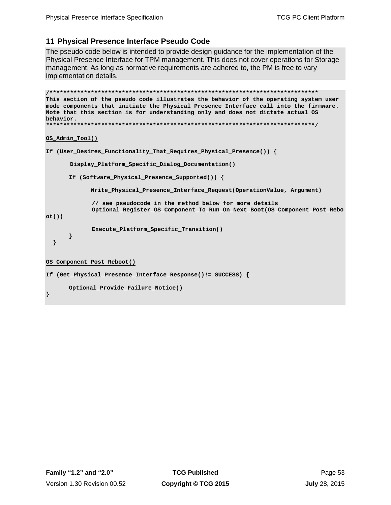# <span id="page-62-0"></span>**11 Physical Presence Interface Pseudo Code**

The pseudo code below is intended to provide design guidance for the implementation of the Physical Presence Interface for TPM management. This does not cover operations for Storage management. As long as normative requirements are adhered to, the PM is free to vary implementation details.

```
/******************************************************************************
This section of the pseudo code illustrates the behavior of the operating system user 
mode components that initiate the Physical Presence Interface call into the firmware. 
Note that this section is for understanding only and does not dictate actual OS 
behavior. 
******************************************************************************/
OS_Admin_Tool()
If (User_Desires_Functionality_That_Requires_Physical_Presence()) {
        Display_Platform_Specific_Dialog_Documentation()
      If (Software_Physical_Presence_Supported()) {
              Write_Physical_Presence_Interface_Request(OperationValue, Argument)
             // see pseudocode in the method below for more details
             Optional_Register_OS_Component_To_Run_On_Next_Boot(OS_Component_Post_Rebo
ot())
              Execute_Platform_Specific_Transition()
      }
   }
OS_Component_Post_Reboot()
If (Get_Physical_Presence_Interface_Response()!= SUCCESS) {
      Optional_Provide_Failure_Notice()
}
```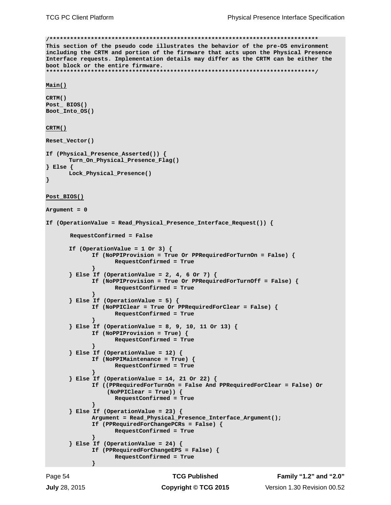```
/******************************************************************************
This section of the pseudo code illustrates the behavior of the pre-OS environment 
including the CRTM and portion of the firmware that acts upon the Physical Presence 
Interface requests. Implementation details may differ as the CRTM can be either the 
boot block or the entire firmware.
******************************************************************************/
Main() 
CRTM()
Post_ BIOS() 
Boot_Into_OS()
CRTM() 
Reset_Vector()
If (Physical_Presence_Asserted()) {
        Turn_On_Physical_Presence_Flag()
} Else { 
      Lock_Physical_Presence() 
} 
Post_BIOS()
Argument = 0
If (OperationValue = Read_Physical_Presence_Interface_Request()) { 
        RequestConfirmed = False 
       If (OperationValue = 1 Or 3) {
             If (NoPPIProvision = True Or PPRequiredForTurnOn = False) {
                    RequestConfirmed = True
              }
       } Else If (OperationValue = 2, 4, 6 Or 7) {
             If (NoPPIProvision = True Or PPRequiredForTurnOff = False) {
                    RequestConfirmed = True
             }
       } Else If (OperationValue = 5) {
             If (NoPPIClear = True Or PPRequiredForClear = False) {
                    RequestConfirmed = True
              }
       } Else If (OperationValue = 8, 9, 10, 11 Or 13) {
              If (NoPPIProvision = True) {
                    RequestConfirmed = True
              }
       } Else If (OperationValue = 12) {
             If (NoPPIMaintenance = True) {
                    RequestConfirmed = True
              }
       } Else If (OperationValue = 14, 21 Or 22) {
             If ((PPRequiredForTurnOn = False And PPRequiredForClear = False) Or
                   (NoPPIClear = True)) {
                    RequestConfirmed = True
              }
       } Else If (OperationValue = 23) {
             Argument = Read_Physical_Presence_Interface_Argument();
             If (PPRequiredForChangePCRs = False) {
                    RequestConfirmed = True
              }
       } Else If (OperationValue = 24) {
             If (PPRequiredForChangeEPS = False) {
                    RequestConfirmed = True
             }
```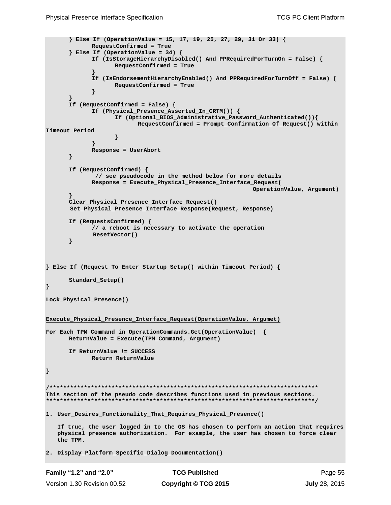```
Family "1.2" and "2.0" TCG Published Page 55
      } Else If (OperationValue = 15, 17, 19, 25, 27, 29, 31 Or 33) {
             RequestConfirmed = True
      } Else If (OperationValue = 34) {
             If (IsStorageHierarchyDisabled() And PPRequiredForTurnOn = False) {
                   RequestConfirmed = True
             } 
             If (IsEndorsementHierarchyEnabled() And PPRequiredForTurnOff = False) {
                   RequestConfirmed = True
             }
       }
       If (RequestConfirmed = False) {
             If (Physical_Presence_Asserted_In_CRTM()) {
                     If (Optional_BIOS_Administrative_Password_Authenticated()){
                           RequestConfirmed = Prompt_Confirmation_Of_Request() within 
Timeout Period
                    }
             }
             Response = UserAbort
      }
      If (RequestConfirmed) {
              // see pseudocode in the method below for more details
             Response = Execute_Physical_Presence_Interface_Request(
                                                           OperationValue, Argument) 
       }
      Clear_Physical_Presence_Interface_Request()
        Set_Physical_Presence_Interface_Response(Request, Response)
      If (RequestsConfirmed) {
             // a reboot is necessary to activate the operation
              ResetVector() 
      }
} Else If (Request_To_Enter_Startup_Setup() within Timeout Period) { 
      Standard_Setup()
}
Lock_Physical_Presence()
Execute_Physical_Presence_Interface_Request(OperationValue, Argumet)
For Each TPM_Command in OperationCommands.Get(OperationValue) {
      ReturnValue = Execute(TPM_Command, Argument) 
      If ReturnValue != SUCCESS
              Return ReturnValue
}
/******************************************************************************
This section of the pseudo code describes functions used in previous sections.
******************************************************************************/
1. User_Desires_Functionality_That_Requires_Physical_Presence()
   If true, the user logged in to the OS has chosen to perform an action that requires 
   physical presence authorization. For example, the user has chosen to force clear 
   the TPM. 
2. Display_Platform_Specific_Dialog_Documentation()
```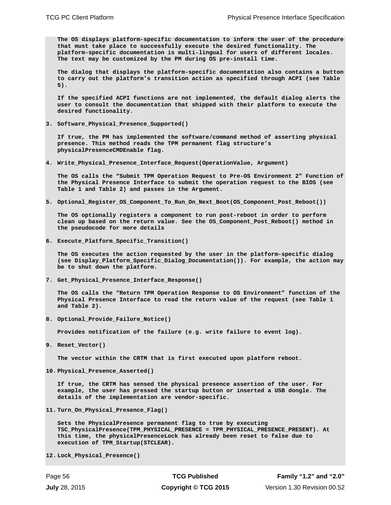**The OS displays platform-specific documentation to inform the user of the procedure that must take place to successfully execute the desired functionality. The platform-specific documentation is multi-lingual for users of different locales. The text may be customized by the PM during OS pre-install time.** 

**The dialog that displays the platform-specific documentation also contains a button to carry out the platform's transition action as specified through ACPI (see [Table](#page-61-0)  [5\)](#page-61-0).**

**If the specified ACPI functions are not implemented, the default dialog alerts the user to consult the documentation that shipped with their platform to execute the desired functionality.** 

<span id="page-65-0"></span>**3. Software\_Physical\_Presence\_Supported()**

**If true, the PM has implemented the software/command method of asserting physical presence. This method reads the TPM permanent flag structure's physicalPresenceCMDEnable flag.**

<span id="page-65-1"></span>**4. Write\_Physical\_Presence\_Interface\_Request(OperationValue, Argument)**

**The OS calls the "Submit TPM Operation Request to Pre-OS Environment 2" Function of the Physical Presence Interface to submit the operation request to the BIOS (see [Table 1](#page-42-0) and [Table 2\)](#page-44-0) and passes in the Argument.** 

<span id="page-65-2"></span>**5. Optional\_Register\_OS\_Component\_To\_Run\_On\_Next\_Boot(OS\_Component\_Post\_Reboot())**

**The OS optionally registers a component to run post-reboot in order to perform clean up based on the return value. See the OS\_Component\_Post\_Reboot() method in the pseudocode for more details**

<span id="page-65-3"></span>**6. Execute\_Platform\_Specific\_Transition()**

**The OS executes the action requested by the user in the platform-specific dialog (see Display\_Platform\_Specific\_Dialog\_Documentation()). For example, the action may be to shut down the platform.**

<span id="page-65-4"></span>**7. Get\_Physical\_Presence\_Interface\_Response()**

**The OS calls the "Return TPM Operation Response to OS Environment" function of the Physical Presence Interface to read the return value of the request (see [Table 1](#page-42-0) and [Table 2\)](#page-44-0).**

<span id="page-65-5"></span>**8. Optional\_Provide\_Failure\_Notice()**

**Provides notification of the failure (e.g. write failure to event log).**

<span id="page-65-6"></span>**9. Reset\_Vector()** 

**The vector within the CRTM that is first executed upon platform reboot.** 

<span id="page-65-7"></span>**10. Physical\_Presence\_Asserted()** 

**If true, the CRTM has sensed the physical presence assertion of the user. For example, the user has pressed the startup button or inserted a USB dongle. The details of the implementation are vendor-specific.**

<span id="page-65-8"></span>**11. Turn\_On\_Physical\_Presence\_Flag()** 

**Sets the PhysicalPresence permanent flag to true by executing TSC\_PhysicalPresence(TPM\_PHYSICAL\_PRESENCE = TPM\_PHYSICAL\_PRESENCE\_PRESENT). At this time, the physicalPresenceLock has already been reset to false due to execution of TPM\_Startup(STCLEAR).**

<span id="page-65-9"></span>**12. Lock\_Physical\_Presence()**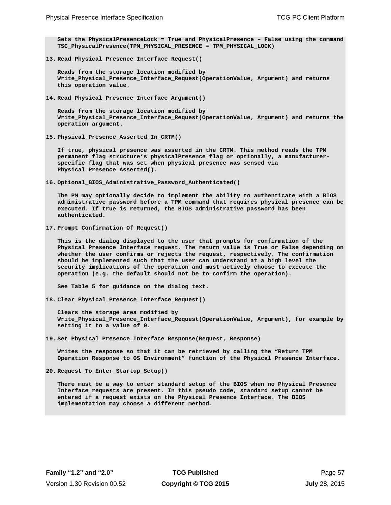**Sets the PhysicalPresenceLock = True and PhysicalPresence – False using the command TSC\_PhysicalPresence(TPM\_PHYSICAL\_PRESENCE = TPM\_PHYSICAL\_LOCK)** 

<span id="page-66-0"></span>**13. Read\_Physical\_Presence\_Interface\_Request()**

**Reads from the storage location modified by Write\_Physical\_Presence\_Interface\_Request(OperationValue, Argument) and returns this operation value.**

**14. Read\_Physical\_Presence\_Interface\_Argument()**

**Reads from the storage location modified by Write\_Physical\_Presence\_Interface\_Request(OperationValue, Argument) and returns the operation argument.**

<span id="page-66-1"></span>**15. Physical\_Presence\_Asserted\_In\_CRTM()**

**If true, physical presence was asserted in the CRTM. This method reads the TPM permanent flag structure's physicalPresence flag or optionally, a manufacturerspecific flag that was set when physical presence was sensed via Physical\_Presence\_Asserted().**

<span id="page-66-2"></span>**16. Optional\_BIOS\_Administrative\_Password\_Authenticated()**

**The PM may optionally decide to implement the ability to authenticate with a BIOS administrative password before a TPM command that requires physical presence can be executed. If true is returned, the BIOS administrative password has been authenticated.**

<span id="page-66-3"></span>**17. Prompt\_Confirmation\_Of\_Request()**

**This is the dialog displayed to the user that prompts for confirmation of the Physical Presence Interface request. The return value is True or False depending on whether the user confirms or rejects the request, respectively. The confirmation should be implemented such that the user can understand at a high level the security implications of the operation and must actively choose to execute the operation (e.g. the default should not be to confirm the operation).** 

**See [Table 5](#page-61-0) for guidance on the dialog text.**

<span id="page-66-4"></span>**18. Clear\_Physical\_Presence\_Interface\_Request()**

**Clears the storage area modified by Write\_Physical\_Presence\_Interface\_Request(OperationValue, Argument), for example by setting it to a value of 0.** 

<span id="page-66-5"></span>**19. Set\_Physical\_Presence\_Interface\_Response(Request, Response)**

**Writes the response so that it can be retrieved by calling the "Return TPM Operation Response to OS Environment" function of the Physical Presence Interface.** 

<span id="page-66-6"></span>**20. Request\_To\_Enter\_Startup\_Setup()**

**There must be a way to enter standard setup of the BIOS when no Physical Presence Interface requests are present. In this pseudo code, standard setup cannot be entered if a request exists on the Physical Presence Interface. The BIOS implementation may choose a different method.**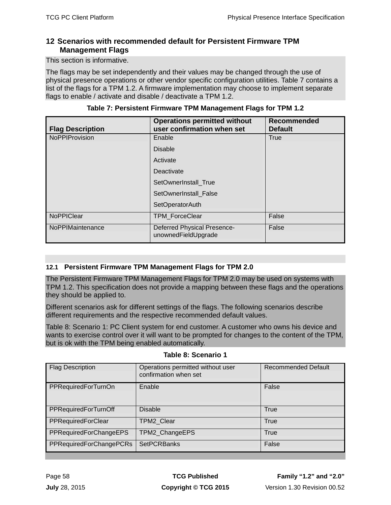# <span id="page-67-0"></span>**12 Scenarios with recommended default for Persistent Firmware TPM Management Flags**

This section is informative.

The flags may be set independently and their values may be changed through the use of physical presence operations or other vendor specific configuration utilities. [Table 7](#page-67-2) contains a list of the flags for a TPM 1.2. A firmware implementation may choose to implement separate flags to enable / activate and disable / deactivate a TPM 1.2.

<span id="page-67-2"></span>

| <b>Flag Description</b> | <b>Operations permitted without</b><br>user confirmation when set | <b>Recommended</b><br><b>Default</b> |
|-------------------------|-------------------------------------------------------------------|--------------------------------------|
| <b>NoPPIProvision</b>   | Enable                                                            | True                                 |
|                         | <b>Disable</b>                                                    |                                      |
|                         | Activate                                                          |                                      |
|                         | Deactivate                                                        |                                      |
|                         | SetOwnerInstall_True                                              |                                      |
|                         | SetOwnerInstall_False                                             |                                      |
|                         | <b>SetOperatorAuth</b>                                            |                                      |
| NoPPIClear              | TPM_ForceClear                                                    | False                                |
| NoPPIMaintenance        | <b>Deferred Physical Presence-</b><br>unownedFieldUpgrade         | False                                |

**Table 7: Persistent Firmware TPM Management Flags for TPM 1.2**

# <span id="page-67-1"></span>**12.1 Persistent Firmware TPM Management Flags for TPM 2.0**

The Persistent Firmware TPM Management Flags for TPM 2.0 may be used on systems with TPM 1.2. This specification does not provide a mapping between these flags and the operations they should be applied to.

Different scenarios ask for different settings of the flags. The following scenarios describe different requirements and the respective recommended default values.

Table 8: [Scenario 1:](#page-67-3) PC Client system for end customer. A customer who owns his device and wants to exercise control over it will want to be prompted for changes to the content of the TPM, but is ok with the TPM being enabled automatically.

<span id="page-67-3"></span>

| <b>Flag Description</b> | Operations permitted without user<br>confirmation when set | <b>Recommended Default</b> |
|-------------------------|------------------------------------------------------------|----------------------------|
| PPRequiredForTurnOn     | Enable                                                     | False                      |
| PPRequiredForTurnOff    | <b>Disable</b>                                             | <b>True</b>                |
| PPRequiredForClear      | TPM2_Clear                                                 | <b>True</b>                |
| PPRequiredForChangeEPS  | TPM2_ChangeEPS                                             | <b>True</b>                |
| PPRequiredForChangePCRs | <b>SetPCRBanks</b>                                         | False                      |

**Table 8: Scenario 1**